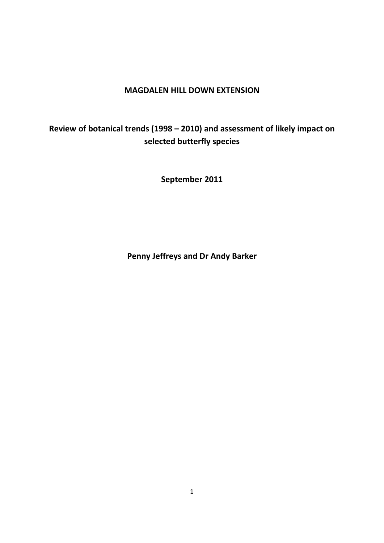# **MAGDALEN HILL DOWN EXTENSION**

# **Review of botanical trends (1998 – 2010) and assessment of likely impact on selected butterfly species**

**September 2011**

**Penny Jeffreys and Dr Andy Barker**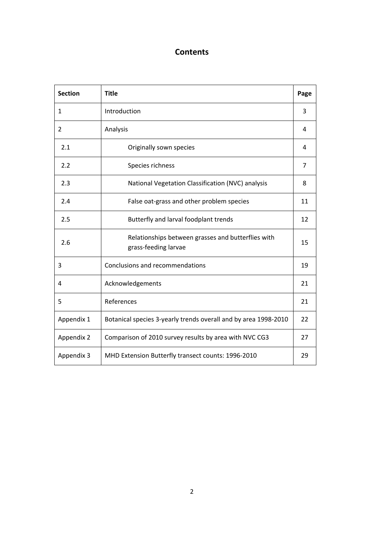# **Contents**

| <b>Section</b> | <b>Title</b>                                                               | Page           |
|----------------|----------------------------------------------------------------------------|----------------|
| 1              | Introduction                                                               | 3              |
| 2              | Analysis                                                                   | 4              |
| 2.1            | Originally sown species                                                    | 4              |
| 2.2            | Species richness                                                           | $\overline{7}$ |
| 2.3            | National Vegetation Classification (NVC) analysis                          | 8              |
| 2.4            | False oat-grass and other problem species                                  | 11             |
| 2.5            | Butterfly and larval foodplant trends                                      | 12             |
| 2.6            | Relationships between grasses and butterflies with<br>grass-feeding larvae | 15             |
| 3              | Conclusions and recommendations                                            | 19             |
| 4              | Acknowledgements                                                           | 21             |
| 5              | References                                                                 | 21             |
| Appendix 1     | Botanical species 3-yearly trends overall and by area 1998-2010            | 22             |
| Appendix 2     | Comparison of 2010 survey results by area with NVC CG3                     | 27             |
| Appendix 3     | MHD Extension Butterfly transect counts: 1996-2010                         | 29             |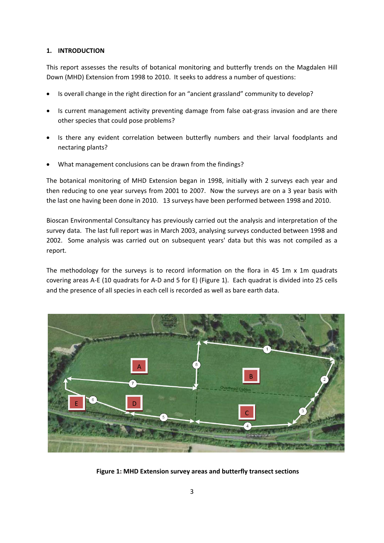## **1. INTRODUCTION**

This report assesses the results of botanical monitoring and butterfly trends on the Magdalen Hill Down (MHD) Extension from 1998 to 2010. It seeks to address a number of questions:

- Is overall change in the right direction for an "ancient grassland" community to develop?
- Is current management activity preventing damage from false oat-grass invasion and are there other species that could pose problems?
- Is there any evident correlation between butterfly numbers and their larval foodplants and nectaring plants?
- What management conclusions can be drawn from the findings?

The botanical monitoring of MHD Extension began in 1998, initially with 2 surveys each year and then reducing to one year surveys from 2001 to 2007. Now the surveys are on a 3 year basis with the last one having been done in 2010. 13 surveys have been performed between 1998 and 2010.

Bioscan Environmental Consultancy has previously carried out the analysis and interpretation of the survey data. The last full report was in March 2003, analysing surveys conducted between 1998 and 2002. Some analysis was carried out on subsequent years' data but this was not compiled as a report.

The methodology for the surveys is to record information on the flora in 45 1m  $\times$  1m quadrats covering areas A‐E (10 quadrats for A‐D and 5 for E) (Figure 1). Each quadrat is divided into 25 cells and the presence of all species in each cell is recorded as well as bare earth data.



**Figure 1: MHD Extension survey areas and butterfly transect sections**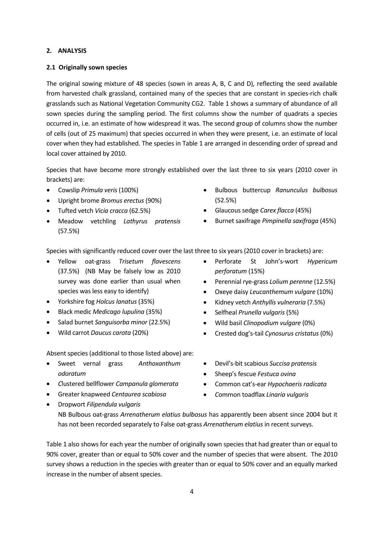### **2. ANALYSIS**

### **2.1 Originally sown species**

The original sowing mixture of 48 species (sown in areas A, B, C and D), reflecting the seed available from harvested chalk grassland, contained many of the species that are constant in species‐rich chalk grasslands such as National Vegetation Community CG2. Table 1 shows a summary of abundance of all sown species during the sampling period. The first columns show the number of quadrats a species occurred in, i.e. an estimate of how widespread it was. The second group of columns show the number of cells (out of 25 maximum) that species occurred in when they were present, i.e. an estimate of local cover when they had established. The species in Table 1 are arranged in descending order of spread and local cover attained by 2010.

Species that have become more strongly established over the last three to six years (2010 cover in brackets) are:

- Cowslip *Primula veris* (100%)
- Upright brome *Bromus erectus* (90%)
- Tufted vetch *Vicia cracca* (62.5%)
- Meadow vetchling *Lathyrus pratensis* (57.5%)
- Bulbous buttercup *Ranunculus bulbosus* (52.5%)
- Glaucous sedge *Carex flacca* (45%)
- **•** Burnet saxifrage *Pimpinella saxifraga* (45%)

Species with significantly reduced cover over the last three to six years (2010 cover in brackets) are:

- Yellow oat‐grass *Trisetum flavescens* (37.5%) (NB May be falsely low as 2010 survey was done earlier than usual when species was less easy to identify)
- Yorkshire fog *Holcus lanatus* (35%)
- Black medic *Medicago lupulina* (35%)
- Salad burnet *Sanguisorba minor* (22.5%)
- Wild carrot *Daucus carota* (20%)
- Perforate St John's‐wort *Hypericum perforatum* (15%)
- Perennial rye‐grass *Lolium perenne* (12.5%)
- Oxeye daisy *Leucanthemum vulgare* (10%)
- Kidney vetch *Anthyllis vulneraria* (7.5%)
- Selfheal *Prunella vulgaris* (5%)
- Wild basil *Clinopodium vulgare* (0%)
- Crested dog's‐tail *Cynosurus cristatus* (0%)

Absent species (additional to those listed above) are:

- Sweet vernal grass *Anthoxanthum odoratum*
- *C*lustered bellflower *Campanula glomerata*
- Greater knapweed *Centaurea scabiosa*
- Dropwort *Filipendula vulgaris*
- Devil's‐bit scabious *Succisa pratensis*
- Sheep's fescue *Festuca ovina*
- Common cat's‐ear *Hypochaeris radicata*
- *C*ommon toadflax *Linaria vulgaris*

NB Bulbous oat‐grass *Arrenatherum elatius bulbosus* has apparently been absent since 2004 but it has not been recorded separately to False oat-grass Arrenatherum elatius in recent surveys.

Table 1 also shows for each year the number of originally sown species that had greater than or equal to 90% cover, greater than or equal to 50% cover and the number of species that were absent. The 2010 survey shows a reduction in the species with greater than or equal to 50% cover and an equally marked increase in the number of absent species.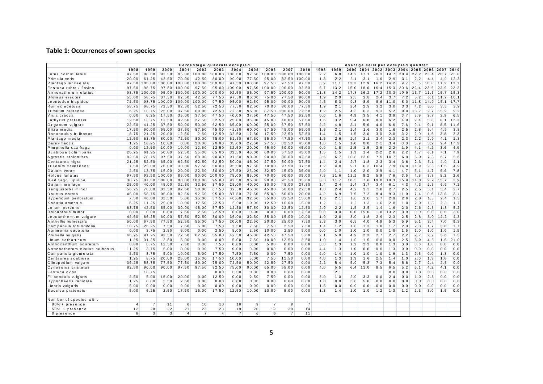#### **Table 1: Occurrences of sown species**

|                                |                |                |        |                |                |                | Percentage quadrats occupied |                |                |                |                |      |      |      |           | Average cells per occupied quadrat |      |      |            |           |           |      |
|--------------------------------|----------------|----------------|--------|----------------|----------------|----------------|------------------------------|----------------|----------------|----------------|----------------|------|------|------|-----------|------------------------------------|------|------|------------|-----------|-----------|------|
|                                | 1998           | 1999           | 2000   | 2001           | 2002           | 2003           | 2004                         | 2005           | 2006           | 2007           | 2010           | 1998 | 1999 | 2000 |           | 2001 2002 2003 2004 2005 2006      |      |      |            |           | 2007 2010 |      |
| Lotus corniculatus             | 47.50          | 80.00          | 92.50  | 95.00          | 100.00         | 100.00         | 100.00                       | 97.50          | 100.00         | 100.00         | 100.00         | 2.2  | 6.8  | 14.2 | 17.1      | 20.3                               | 14.7 | 20.4 | 22.2       | 23        | 20.7      | 23.8 |
| Primula veris                  | 20.00          | 61.25          | 42.50  | 70.00          | 42.50          | 80.00          | 90.00                        | 77.50          | 95.00          | 82.50          | 100.00         | 1.3  | 2.2  | 2.1  | 3.1       | 1.6                                | 2.9  | 3.1  | 2.2        | 4.4       | 4.9       | 12.3 |
| Plantago lanceolata            | 97.50          | 100.00         | 100.00 | 100.00         | 100.00         | 100.00         | 97.50                        | 100.00         | 97.50          | 97.50          | 97.50          | 5.9  | 11.1 | 13.3 | 12.9      | 16.2                               | 14.2 |      | $9.7$ 13.6 | 10.8      | 11.2      | 12.1 |
| Festuca rubra / ?ovina         | 97.50          | 98.75          | 97.50  | 100.00         | 97.50          | 95.00          | 100.00                       | 97.50          | 100.00         | 100.00         | 92.50          | 6.7  | 13.2 | 15.0 | 18<br>. 6 | 16.4                               | 15.3 | 20.6 | 22.4       | 23.5      | 23<br>q   | 23.2 |
| Arrhenatherum elatius          | 98.75          | 100.00         | 95.00  | 100.00         | 100.00         | 100.00         | 92.50                        | 85.00          | 97.50          | 100.00         | 90.00          | 11.8 | 14.2 | 17.8 | 16.2      | 17.2                               | 20.3 | 10.9 | 13.7       | 11<br>. 5 | 15.7      | 15.3 |
| Brom us erectus                | 55.00          | 58.75          | 37.50  | 62.50          | 42.50          | 77.50          | 97.50                        | 85.00          | 75.00          | 77.50          | 90.00          | 1.9  | 2.9  | 2.5  | 2.8       | 2.4                                | 3.7  | 7.2  | 5.2        | 6.1       | 11.2      | 10.1 |
| Leontodon hispidus             | 72.50          | 98.75          | 100.00 | 100.00         | 100.00         | 97.50          | 95.00                        | 92.50          | 95.00          | 90.00          | 90.00          | 4.5  | 8.3  | 9.3  | 8.9       | 8.6                                | 11.0 | 8.0  | 11.8       | 14.9      | 15.1      | 17.7 |
| Rumex acetosa                  | 58.75          | 68.75          | 72.50  | 82.50          | 52.50          | 72.50          | 77.50                        | 82.50          | 70.00          | 80.00          | 77.50          | 1.9  | 2.1  | 2.4  | 2.9       | 3.2                                | 3.0  | 3.3  | 4.2        | 3.0       | 3.5       | 3.9  |
| Trifolium pratense             | 6.25           | 18.75          | 25.00  | 37.50          | 60.00          | 72.50          | 72.50                        | 95.00          | 87.50          | 100.00         | 72.50          | 1.2  | 2.5  | 4.3  | 6.3       | 9.3                                | 5.2  | 9.0  | 13.7       | 9.7       | 15.9      | 9.2  |
| Vicia cracca                   | 0.00           | 6.25           | 17.50  | 35.00          | 37.50          | 47.50          | 40.00                        | 37.50          | 47.50          | 47.50          | 62.50          | 0.0  | 1.6  | 4.9  | 3.5       | 4.1                                | 3.9  | 3.7  | 3.9        | 2.7       | 2.9       | 6.5  |
| Lathyrus pratensis             | 12.50          | 13.75          | 12.50  | 42.50          | 27.50          | 32.50          | 25.00                        | 35.00          | 45.00          | 40.00          | 57.50          | 1.6  | 3.2  | 5.4  | 6.0       | 8.0                                | 6.2  | 4.9  | 9.4        | 5.8       | 8.1       | 12.3 |
| Origanum vulgare               | 22.50          | 41.25          | 37.50  | 50.00          | 50.00          | 62.50          | 65.00                        | 60.00          | 55.00          | 67.50          | 57.50          | 2.2  | 4.8  | 2.1  | 5.6       | 4.6                                | 6.6  | 7.6  | 9.4        | 9.1       | 8.5       | 11.6 |
| Briza media                    | 17.50          | 60.00          | 65.00  | 37.50          | 57.50          | 45.00          | 42.50                        | 60.00          | 57.50          | 45.00          | 55.00          | 1.6  | 2.1  | 2.4  | 1.6       | 3.0                                | 1.6  | 2.5  | 2.8        | 5.4       | 4.9       | 3.8  |
| Ranunculus bulbosus            | 8.75           | 21.25          | 20.00  | 12.50          | 2.50           | 12.50          | 32.50                        | 17.50          | 17.50          | 22.50          | 52.50          | 1.4  | 1.5  | 1.5  | 2.0       | 3.0                                | 2.0  | 3.2  | 2.0        | 1.6       | 3.8       | 3.3  |
| Plantago media                 | 12.50          | 63.75          | 80.00  | 72.50          | 80.00          | 75.00          | 52.50                        | 67.50          | 55.00          | 47.50          | 47.50          | 1.5  | 2.6  | 2.4  | 2.1       | 2.4                                | 2.3  | 2.3  | 2.2        | 2.9       | 4.1       | 2.3  |
| Carex flacca                   | 1.25           | 16.25          | 10.00  | 0.00           | 20.00          | 20.00          | 35.00                        | 22.50          | 27.50          | 32.50          | 45.00          | 1.0  | 1.5  | 1.0  | 0.0       | 2.1                                | 3.4  | 3.3  | 5.9        | 3.2       | 9.4       | 17.3 |
| Pimpinella saxifraga           | 0.00           | 12.50          | 10.00  | 10.00          | 12.50          | 12.50          | 32.50                        | 20.00          | 45.00          | 50.00          | 45.00          | 0.0  | 1.8  | 2.5  | 1.5       | 2.6                                | 2.2  | 1.9  | 4.1        | 4.2       | 3.6       | 4.9  |
| Scabiosa columbaria            | 26.25          | 61.25          | 50.00  | 52.50          | 55.00          | 65.00          | 32.50                        | 40.00          | 60.00          | 57.50          | 45.00          | 1.5  | 1.5  | 1.3  | 1.4       | 2.2                                | 2.6  | 2.2  | 4.7        | 6.1       | 7.1       | 7.9  |
| Agrostis stolonifera           | 82.50          | 78.75          | 97.50  | 37.50          | 60.00          | 90.00          | 97.50                        | 90.00          | 90.00          | 80.00          | 42.50          | 3.6  | 6.7  | 10.8 | 12.0      | 7.5                                | 10.7 | 6.9  | 6.0        | 7.8       | 6.7       | 5.6  |
| Centaurea nigra                | 21.25          | 52.50          | 65.00  | 62.50          | 62.50          | 62.50          | 50.00                        | 45.00          | 47.50          | 50.00          | 37.50          | 1.4  | 2.4  | 2.7  | 1.8       | 2.3                                | 3.4  | 3.6  | 2.3        | 5.1       | 4.0       | 4.1  |
| Trisetum flavescens            | 7.50           | 25.00          | 70.00  | 30.00          | 97.50          | 50.00          | 95.00                        | 97.50          | 70.00          | 97.50          | 37.50          | 1.2  | 4.0  | 9.1  | 6.3       | 10.4                               | 7.9  | 14.0 | 11.9       | 9.3       | 11.5      | 4.9  |
| Galium verum                   | 2.50           | 13.75          | 15.00  | 20.00          | 22.50          | 30.00          | 27.50                        | 25.00          | 32.50          | 45.00          | 35.00          | 2.0  | 1.1  | 1.0  | 2.0       | 3.9                                | 4.1  | 4.7  | 5.1        | 4.7       | 5.6       | 7.8  |
| <b>Holcus</b> lanatus          | 97.50          | 92.50          | 100.00 | 85.00          | 90.00          | 100.00         | 75.00                        | 85.00          | 70.00          | 90.00          | 35.00          | 7.5  | 11.6 | 11.1 | 8.2       | 5.9                                | 7.6  | 3.5  | 4.8        | 3.7       | 5.2       | 2.6  |
| Medicago lupulina              | 38.75          | 87.50          | 100.00 | 80.00          | 100.00         | 95.00          | 92.50                        | 95.00          | 90.00          | 92.50          | 35.00          | 3.3  | 11.7 | 18.5 | 7.6       | 19.0                               | 19.3 | 15.9 | 14.0       | 9.2       | 15.7      | 3.9  |
| Galium mollugo                 | 25.00          | 40.00          | 45.00  | 32.50          | 32.50          | 37.50          | 25.00                        | 40.00          | 30.00          | 45.00          | 27.50          | 1.4  | 2.4  | 2.4  | 3.7       | 3.4                                | 6.1  | 4.3  | 4.3        | 2.3       | 6.6       | 7.2  |
| Sanguisorba minor              | 56.25          | 70.00          | 82.50  | 82.50          | 50.00          | 67.50          | 32.50                        | 45.00          | 45.00          | 50.00          | 22.50          | 1.8  | 2.4  | 4.2  | 3.3       | 2.8                                | 2.7  | 2.5  | 2.5        | 3.1       | 3.4       | 2.7  |
| Daucus carota                  | 45.00          | 58.75          | 95.00  | 82.50          | 92.50          | 95.00          | 87.50                        | 77.50          | 65.00          | 60.00          | 20.00          | 4.2  | 6.9  | 7.5  | 7.2       | 8.4                                | 9.3  | 11.0 | 7.4        | 10.6      | 13.6      | 2.1  |
| Hypericum perforatum           | 7.50           | 40.00          | 32.50  | 5.00           | 25.00          | 37.50          | 40.00                        | 32.50          | 35.00          | 32.50          | 15.00          | 1.5  | 2.1  | 1.8  | 2.0       | 1.7                                | 2.9  | 2.6  | 2.8        | 1.8       | 2.4       | 1.5  |
| Knautia arvensis               | 6.25           | 11.25          | 25.00  | 10.00          | 17.50          | 22.50          | 5.00                         | 10.00          | 12.50          | 10.00          | 15.00          | 1.2  | 1.1  | 1.2  | 1.3       | 1.6                                | 2.0  | 1.0  | 2.0        | 1.8       | 2.3       | 1.7  |
| Lolium perenne                 | 63.75          | 42.50          | 55.00  | 30.00          | 45.00          | 57.50          | 12.50                        | 57.50          | 30.00          | 22.50          | 12.50          | 2.9  | 2.2  | 1.5  | 3.5       | 1.4                                | 1.6  | 2.0  | 2.6        | 2.3       | 1.8       | 5.2  |
| Rhinanthus mino                | 0.00           | 0.00           | 0.00   | 7.50           | 2.50           | 22.50          | 0.00                         | 0.00           | 0.00           | 0.00           | 12.50          | 0.0  | 0.0  | 0.0  | 15.0      | 1.0                                | 13.2 | 0.0  | 0.0        | 0.0       | 0.0       | 2.6  |
| Leucanthem um vulgare          | 42.50          | 66.25          | 60.00  | 57.50          | 52.50          | 30.00          | 35.00                        | 32.50          | 35.00          | 15.00          | 10.00          | 1.9  | 2.8  | 3.0  | 1.8       | 2.9                                | 2.3  | 2.5  | 2.8        | 3.0       | 12.2      | 4.3  |
| Anthyllis vulneraria           | 50.00          | 67.50          | 77.50  | 52.50          | 55.00          | 37.50          | 20.00                        | 22.50          | 20.00          | 25.00          | 7.50           | 2.3  | 3.0  | 6.5  | 4.0       | 4.9                                | 5.3  | 5.9  | 5.1        | 3.4       | 7.0       | 9.3  |
| Campanula rotundifolia         | 18.75          | 26.25          | 7.50   | 7.50           | 5.00           | 7.50           | 2.50                         | 7.50           | 7.50           | 2.50           | 7.50           | 1.4  | 1.2  | 1.0  | 1.3       | 1.0                                | 1.7  | 2.0  | 2.3        | 1.7       | 3.0       | 1.7  |
| Agrim onia eupatoria           | 0.00           | 3.75           | 2.50   | 5.00           | 0.00           | 2.50           | 5.00                         | 2.50           | 10.00          | 2.50           | 5.00           | 0.0  | 1.0  | 1.0  | 1.0       | 0.0                                | 1.0  | 1.5  | 1.0        | 1.0       | 1.0       | 1.5  |
| Prunella vulgaris              | 66.25          | 91.25          | 92.50  | 72.50          | 62.50          | 55.00          | 42.50                        | 45.00          | 42.50          | 47.50          | 5.00           | 2.1  | 5.0  | 4.9  | 2.3       | 2.7                                | 2.7  | 2.2  | 2.7        | 2.7       | 3.6       | 1.5  |
| Linum catharticum              | 1.25           | 31.25          | 2.50   | 5.00           | 0.00           | 0.00           | 5.00                         | 7.50           | 10.00          | 12.50          | 2.50           | 1.0  | 1.4  | 1.0  | 1.5       | 0.0                                | 0.0  | 2.5  | 6.0        | 4.5       | 1.6       | 21.0 |
| Anthoxanthum odoratum          | 0.00           | 8.75           | 12.50  | 7.50           | 0.00           | 7.50           | 0.00                         | 0.00           | 5.00           | 0.00           | 0.00           | 0.0  | 1.3  | 1.2  | 2.3       | 0.0                                | 1.3  | 0.0  | 0.0        | 1.0       | 0.0       | 0.0  |
| Arrhenatherum elatius bulbosus | 11.25          | 3.75           | 5.00   | 0.00           | 0.00           | 7.50           | 0.00                         | 0.00           | 0.00           | 0.00           | 0.00           | 4.4  | 1.3  | 1.0  | 0.0       | 0.0                                | 1.3  | 0.0  | 0.0        | 0.0       | 0.0       | 0.0  |
| Campanula glomerata            | 2.50           | 8.75           | 5.00   | 10.00          | 5.00           | 17.50          | 7.50                         | 7.50           | 0.00           | 7.50           | 0.00           | 2.0  | 1.4  | 1.0  | 1.0       | 1.0                                | 1.6  | 1.3  | 2.3        | 0.0       | 1.3       | 0.0  |
| Centaurea scabiosa             | 1.25           | 8.75           | 20.00  | 25.00          | 15.00          | 17.50          | 10.00                        | 5.00           | 7.50           | 12.50          | 0.00           | 4.0  | 1.3  | 1.3  | 1.6       | 2.5                                | 1.4  | 1.0  | 2.0        | 1.3       | 1.6       | 0.0  |
| Clinopodium vulgare            | 36.25          | 58.75          | 77.50  | 77.50          | 80.00          | 75.00          | 72.50                        | 50.00          | 42.50          | 27.50          | 0.00           | 2.2  | 5.4  | 5.0  | 5.3       | 7.3                                | 5.4  | 5.8  | 2.7        | 2.4       | 2.5       | 0.0  |
| Cynosurus cristatus            | 82.50          | 90.00          | 90.00  | 97.50          | 97.50          | 92.50          | 75.00                        | 90.00          | 65.00          | 55.00          | 0.00           | 4.0  | 5.5  | 6.4  | 11.0      | 8.5                                | 6.5  | 5.2  | 6.1        | 4.2       | 4.1       | 0.0  |
| Festuca ovina                  |                | 18.75          |        |                |                | 0.00           | 0.00                         | 0.00           | 0.00           | 0.00           | 0.00           |      | 2.1  |      |           |                                    | 0.0  | 0.0  | 0.0        | 0.0       | 0.0       | 0.0  |
| Filipendula vulgaris           | 2.50           | 5.00           | 15.00  | 20.00          | 0.00           | 12.50          | 0.00                         | 2.50           | 7.50           | 0.00           | 0.00           | 3.0  | 1.0  | 2.0  | 3.3       | 0.0                                | 2.4  | 0.0  | 1.0        | 2.3       | 0.0       | 0.0  |
| Hypochaeris radicata           | 1.25           | 0.00           | 2.50   | 2.50           | 0.00           | 0.00           | 0.00                         | 0.00           | 0.00           | 0.00           | 0.00           | 1.0  | 0.0  | 3.0  | 5.0       | 0.0                                | 0.0  | 0.0  | 0.0        | 0.0       | 0.0       | 0.0  |
| Linaria vulgaris               | 5.00           | 0.00           | 0.00   | 0.00           | 0.00           | 0.00           | 0.00                         | 0.00           | 0.00           | 0.00           | 0.00           | 1.5  | 0.0  | 0.0  | 0.0       | 0.0                                | 0.0  | 0.0  | 0.0        | 0.0       | 0.0       | 0.0  |
| Succisa pratensis              | 5.00           | 6.25           | 2.50   | 17.50          | 15.00          | 17.50          | 12.50                        | 10.00          | 10.00          | 5.00           | 0.00           | 1.3  | 1.4  | 1.0  | 1.0       | 1.2                                | 1.3  | 1.2  | 2.3        | 3.0       | 1.5       | 0.0  |
| Number of species with:        |                |                |        |                |                |                |                              |                |                |                |                |      |      |      |           |                                    |      |      |            |           |           |      |
| $90\% + presence$              | $\overline{4}$ | $\overline{7}$ | 11     | 6              | 10             | 10             | 10                           | $\overline{9}$ | $\overline{7}$ | $\overline{9}$ | $\overline{7}$ |      |      |      |           |                                    |      |      |            |           |           |      |
| $50\%$ + presence              | 12             | 20             | 22     | 21             | 23             | 23             | 19                           | 20             | 19             | 20             | 14             |      |      |      |           |                                    |      |      |            |           |           |      |
| 0 presence                     | 6              | 3              | 3      | $\overline{4}$ | $\overline{7}$ | $\overline{a}$ | $\overline{7}$               | 6              | 6              | $\overline{7}$ | 11             |      |      |      |           |                                    |      |      |            |           |           |      |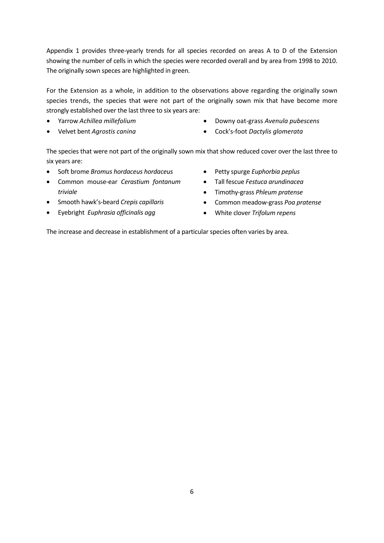Appendix 1 provides three-yearly trends for all species recorded on areas A to D of the Extension showing the number of cells in which the species were recorded overall and by area from 1998 to 2010. The originally sown speces are highlighted in green.

For the Extension as a whole, in addition to the observations above regarding the originally sown species trends, the species that were not part of the originally sown mix that have become more strongly established over the last three to six years are:

- Yarrow *Achillea millefolium*
- Velvet bent *Agrostis canina*
- Downy oat‐grass *Avenula pubescens*
- Cock's‐foot *Dactylis glomerata*

The species that were not part of the originally sown mix that show reduced cover over the last three to six years are:

- Soft brome *Bromus hordaceus hordaceus*
- Common mouse‐ear *Cerastium fontanum triviale*
- Smooth hawk's‐beard *Crepis capillaris*
- Eyebright *Euphrasia officinalis agg*
- Petty spurge *Euphorbia peplus*
- Tall fescue *Festuca arundinacea*
- Timothy‐grass *Phleum pratense*
- Common meadow‐grass *Poa pratense*
- White clover *Trifolum repens*

The increase and decrease in establishment of a particular species often varies by area.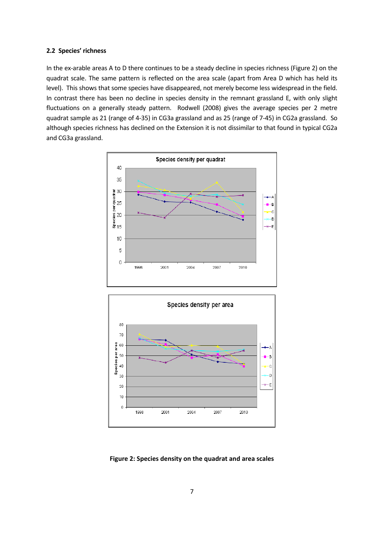#### **2.2 Species' richness**

In the ex-arable areas A to D there continues to be a steady decline in species richness (Figure 2) on the quadrat scale. The same pattern is reflected on the area scale (apart from Area D which has held its level). This shows that some species have disappeared, not merely become less widespread in the field. In contrast there has been no decline in species density in the remnant grassland E, with only slight fluctuations on a generally steady pattern. Rodwell (2008) gives the average species per 2 metre quadrat sample as 21 (range of 4‐35) in CG3a grassland and as 25 (range of 7‐45) in CG2a grassland. So although species richness has declined on the Extension it is not dissimilar to that found in typical CG2a and CG3a grassland.





**Figure 2: Species density on the quadrat and area scales**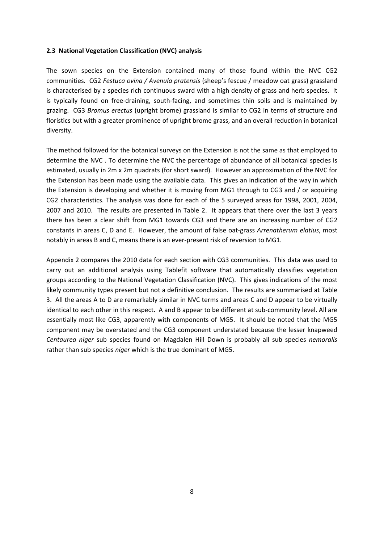#### **2.3 National Vegetation Classification (NVC) analysis**

The sown species on the Extension contained many of those found within the NVC CG2 communities. CG2 *Festuca ovina / Avenula pratensis* (sheep's fescue / meadow oat grass) grassland is characterised by a species rich continuous sward with a high density of grass and herb species. It is typically found on free‐draining, south‐facing, and sometimes thin soils and is maintained by grazing. CG3 *Bromus erectus* (upright brome) grassland is similar to CG2 in terms of structure and floristics but with a greater prominence of upright brome grass, and an overall reduction in botanical diversity.

The method followed for the botanical surveys on the Extension is not the same as that employed to determine the NVC . To determine the NVC the percentage of abundance of all botanical species is estimated, usually in 2m x 2m quadrats (for short sward). However an approximation of the NVC for the Extension has been made using the available data. This gives an indication of the way in which the Extension is developing and whether it is moving from MG1 through to CG3 and / or acquiring CG2 characteristics. The analysis was done for each of the 5 surveyed areas for 1998, 2001, 2004, 2007 and 2010. The results are presented in Table 2. It appears that there over the last 3 years there has been a clear shift from MG1 towards CG3 and there are an increasing number of CG2 constants in areas C, D and E. However, the amount of false oat‐grass *Arrenatherum elatius*, most notably in areas B and C, means there is an ever-present risk of reversion to MG1.

Appendix 2 compares the 2010 data for each section with CG3 communities. This data was used to carry out an additional analysis using Tablefit software that automatically classifies vegetation groups according to the National Vegetation Classification (NVC). This gives indications of the most likely community types present but not a definitive conclusion. The results are summarised at Table 3. All the areas A to D are remarkably similar in NVC terms and areas C and D appear to be virtually identical to each other in this respect. A and B appear to be different at sub-community level. All are essentially most like CG3, apparently with components of MG5. It should be noted that the MG5 component may be overstated and the CG3 component understated because the lesser knapweed *Centaurea niger* sub species found on Magdalen Hill Down is probably all sub species *nemoralis* rather than sub species *niger* which is the true dominant of MG5.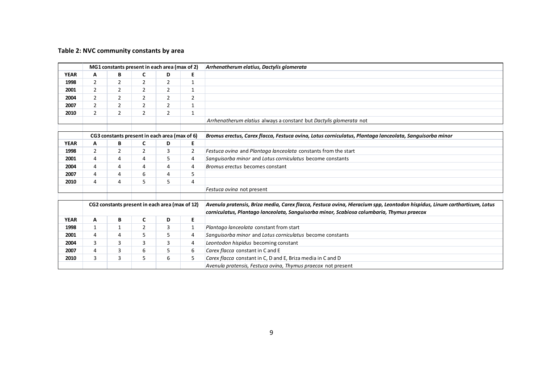#### **Table 2: NVC community constants by area**

|             |                |                | MG1 constants present in each area (max of 2)  |                |                | Arrhenatherum elatius, Dactylis glomerata                                                                                 |
|-------------|----------------|----------------|------------------------------------------------|----------------|----------------|---------------------------------------------------------------------------------------------------------------------------|
| <b>YEAR</b> | Α              | B              | C                                              | D              | E              |                                                                                                                           |
| 1998        | 2              | 2              | 2                                              | $\overline{2}$ | $\mathbf{1}$   |                                                                                                                           |
| 2001        | 2              | $\overline{2}$ | $\overline{2}$                                 | $\overline{2}$ | 1              |                                                                                                                           |
| 2004        | $\overline{2}$ | $\overline{2}$ | $\overline{2}$                                 | $\overline{2}$ | $\overline{2}$ |                                                                                                                           |
| 2007        | $\overline{2}$ | $\overline{2}$ | $\overline{2}$                                 | $\overline{2}$ | 1              |                                                                                                                           |
| 2010        | 2              | $\overline{2}$ | $\overline{2}$                                 | 2              | 1              |                                                                                                                           |
|             |                |                |                                                |                |                | Arrhenatherum elatius always a constant but Dactylis glomerata not                                                        |
|             |                |                |                                                |                |                |                                                                                                                           |
|             |                |                | CG3 constants present in each area (max of 6)  |                |                | Bromus erectus, Carex flacca, Festuca ovina, Lotus corniculatus, Plantaga lanceolata, Sanguisorba minor                   |
| <b>YEAR</b> | A              | В              | C                                              | D              | Е              |                                                                                                                           |
| 1998        | 2              | 2              | 2                                              | 3              | $\overline{2}$ | Festuca ovina and Plantaga lanceolata constants from the start                                                            |
| 2001        | 4              | $\overline{4}$ | 4                                              | 5              | $\overline{4}$ | Sanguisorba minor and Lotus corniculatus become constants                                                                 |
| 2004        | 4              | 4              | 4                                              | 4              | 4              | Bromus erectus becomes constant                                                                                           |
| 2007        | 4              | $\overline{4}$ | 6                                              | 4              | 5              |                                                                                                                           |
| 2010        | 4              | 4              | 5                                              | 5              | $\overline{4}$ |                                                                                                                           |
|             |                |                |                                                |                |                | Festuca ovina not present                                                                                                 |
|             |                |                |                                                |                |                |                                                                                                                           |
|             |                |                | CG2 constants present in each area (max of 12) |                |                | Avenula pratensis, Briza media, Carex flacca, Festuca ovina, Hieracium spp, Leontodon hispidus, Linum cartharticum, Lotus |
|             |                |                |                                                |                |                | corniculatus, Plantago lanceolata, Sanguisorba minor, Scabiosa columbaria, Thymus praecox                                 |
| <b>YEAR</b> | A              | В              | $\mathbf c$                                    | D              | E              |                                                                                                                           |
| 1998        | $\mathbf{1}$   | $1\,$          | $\overline{2}$                                 | 3              | 1              | Plantago lanceolata constant from start                                                                                   |
| 2001        | 4              | 4              | 5                                              | 5              | $\overline{4}$ | Sanguisorba minor and Lotus corniculatus become constants                                                                 |
| 2004        | 3              | 3              | 3                                              | 3              | 4              | Leontodon hispidus becoming constant                                                                                      |
| 2007        | 4              | 3              | 6                                              | 5              | 6              | Carex flacca constant in C and E                                                                                          |
| 2010        | 3              | 3              | 5                                              | 6              | 5              | Carex flacca constant in C, D and E, Briza media in C and D                                                               |
|             |                |                |                                                |                |                | Avenula pratensis, Festuca ovina, Thymus praecox not present                                                              |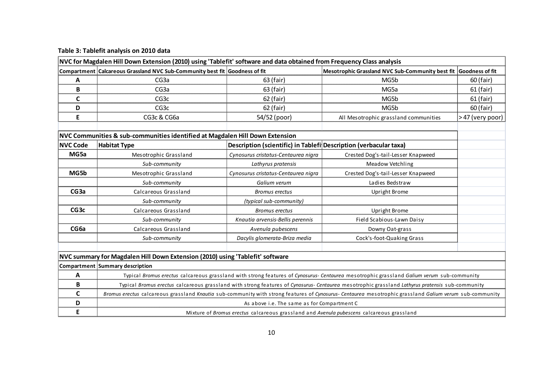| Table 3: Tablefit analysis on 2010 data |  |  |  |  |
|-----------------------------------------|--|--|--|--|
|-----------------------------------------|--|--|--|--|

|                  | NVC for Magdalen Hill Down Extension (2010) using 'Tablefit' software and data obtained from Frequency Class analysis |                                                                   |                                                                                                                                                         |                 |
|------------------|-----------------------------------------------------------------------------------------------------------------------|-------------------------------------------------------------------|---------------------------------------------------------------------------------------------------------------------------------------------------------|-----------------|
|                  | Compartment Calcareous Grassland NVC Sub-Community best fit Goodness of fit                                           |                                                                   | Mesotrophic Grassland NVC Sub-Community best fit Goodness of fit                                                                                        |                 |
| A                | CG <sub>3</sub> a                                                                                                     | 63 (fair)                                                         | MG5b                                                                                                                                                    | 60 (fair)       |
| B                | CG <sub>3</sub> a                                                                                                     | 63 (fair)                                                         | MG5a                                                                                                                                                    | $61$ (fair)     |
| $\mathsf C$      | CG <sub>3c</sub>                                                                                                      | 62 (fair)                                                         | MG5b                                                                                                                                                    | $61$ (fair)     |
| D                | CG <sub>3c</sub>                                                                                                      | 62 (fair)                                                         | MG5b                                                                                                                                                    | 60 (fair)       |
| E                | CG3c & CG6a                                                                                                           | 54/52 (poor)                                                      | All Mesotrophic grassland communities                                                                                                                   | >47 (very poor) |
|                  |                                                                                                                       |                                                                   |                                                                                                                                                         |                 |
|                  | NVC Communities & sub-communities identified at Magdalen Hill Down Extension                                          |                                                                   |                                                                                                                                                         |                 |
| <b>NVC Code</b>  | <b>Habitat Type</b>                                                                                                   | Description (scientific) in Tablefi Description (verbacular taxa) |                                                                                                                                                         |                 |
| MG5a             | Mesotrophic Grassland                                                                                                 | Cynosurus cristatus-Centaurea nigra                               | Crested Dog's-tail-Lesser Knapweed                                                                                                                      |                 |
|                  | Sub-community                                                                                                         | Lathyrus pratensis                                                | Meadow Vetchling                                                                                                                                        |                 |
| MG5b             | Mesotrophic Grassland                                                                                                 | Cynosurus cristatus-Centaurea nigra                               | Crested Dog's-tail-Lesser Knapweed                                                                                                                      |                 |
|                  | Sub-community                                                                                                         | Galium verum                                                      | Ladies Bedstraw                                                                                                                                         |                 |
| CG <sub>3a</sub> | Calcareous Grassland                                                                                                  | <b>Bromus erectus</b>                                             | <b>Upright Brome</b>                                                                                                                                    |                 |
|                  | Sub-community                                                                                                         | (typical sub-community)                                           |                                                                                                                                                         |                 |
| CG <sub>3c</sub> | Calcareous Grassland                                                                                                  | <b>Bromus erectus</b>                                             | Upright Brome                                                                                                                                           |                 |
|                  | Sub-community                                                                                                         | Knautia arvensis-Bellis perennis                                  | Field Scabious-Lawn Daisy                                                                                                                               |                 |
| CG <sub>6a</sub> | Calcareous Grassland                                                                                                  | Avenula pubescens                                                 | Downy Oat-grass                                                                                                                                         |                 |
|                  | Sub-community                                                                                                         | Dacylis glomerata-Briza media                                     | Cock's-foot-Quaking Grass                                                                                                                               |                 |
|                  |                                                                                                                       |                                                                   |                                                                                                                                                         |                 |
|                  | NVC summary for Magdalen Hill Down Extension (2010) using 'Tablefit' software                                         |                                                                   |                                                                                                                                                         |                 |
|                  | Compartment Summary description                                                                                       |                                                                   |                                                                                                                                                         |                 |
| Α                |                                                                                                                       |                                                                   | Typical Bromus erectus calcareous grassland with strong features of Cynosurus- Centaurea mesotrophic grassland Galium verum sub-community               |                 |
| B                |                                                                                                                       |                                                                   | Typical Bromus erectus calcareous grassland with strong features of Cynosurus- Centaurea mesotrophic grassland Lathyrus pratensis sub-community         |                 |
| $\mathsf{C}$     |                                                                                                                       |                                                                   | Bromus erectus calcareous grassland Knautia sub-community with strong features of Cynosurus- Centaurea mesotrophic grassland Galium verum sub-community |                 |
| D                |                                                                                                                       | As above i.e. The same as for Compartment C                       |                                                                                                                                                         |                 |
| E                |                                                                                                                       |                                                                   | Mixture of Bromus erectus calcareous grassland and Avenula pubescens calcareous grassland                                                               |                 |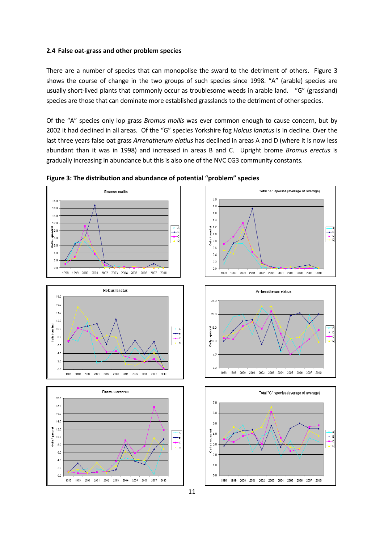#### **2.4 F e als oat‐grass and other problem species**

There are a number of species that can monopolise the sward to the detriment of others. Figure 3 shows the course of change in the two groups of such species since 1998. "A" (arable) species are usually short-lived plants that commonly occur as troublesome weeds in arable land. "G" (grassland) species are those that can dominate more established grasslands to the detriment of other species.

Of the "A" species only lop grass *Bromus mollis* was ever common enough to cause concern, but by 2002 it had declined in all areas. Of the "G" species Yorkshire fog *Holcus lanatus* is in decline. Over the last three years false oat grass *Arrenatherum elatius* has declined in areas A and D (where it is now less abundant than it was in 1998) and increased in areas B and C. Upright brome *Bromus erectus* is gradually increasing in abundance but this is also one of the NVC CG3 community constants.



**Figure 3: The distribution and abundance of potential "problem" species**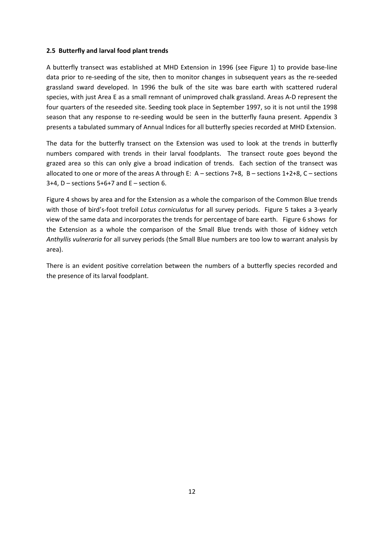### **2.5 Butterfly and larval food plant trends**

A butterfly transect was established at MHD Extension in 1996 (see Figure 1) to provide base‐line data prior to re‐seeding of the site, then to monitor changes in subsequent years as the re‐seeded grassland sward developed. In 1996 the bulk of the site was bare earth with scattered ruderal species, with just Area E as a small remnant of unimproved chalk grassland. Areas A‐D represent the four quarters of the reseeded site. Seeding took place in September 1997, so it is not until the 1998 season that any response to re-seeding would be seen in the butterfly fauna present. Appendix 3 presents a tabulated summary of Annual Indices for all butterfly species recorded at MHD Extension.

The data for the butterfly transect on the Extension was used to look at the trends in butterfly numbers compared with trends in their larval foodplants. The transect route goes beyond the grazed area so this can only give a broad indication of trends. Each section of the transect was allocated to one or more of the areas A through E: A – sections 7+8, B – sections 1+2+8, C – sections  $3+4$ , D – sections  $5+6+7$  and E – section 6.

Figure 4 shows by area and for the Extension as a whole the comparison of the Common Blue trends with those of bird's‐foot trefoil *Lotus corniculatus* for all survey periods. Figure 5 takes a 3‐yearly view of the same data and incorporates the trends for percentage of bare earth. Figure 6 shows for the Extension as a whole the comparison of the Small Blue trends with those of kidney vetch *Anthyllis vulneraria* for all survey periods (the Small Blue numbers are too low to warrant analysis by area).

There is an evident positive correlation between the numbers of a butterfly species recorded and the presence of its larval foodplant.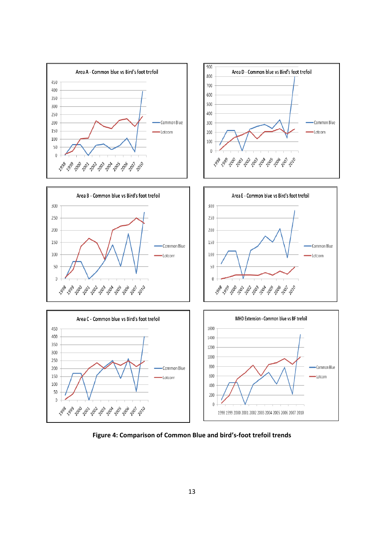

**Figure 4: Comparison of Common Blue and bird's‐foot trefoil trends**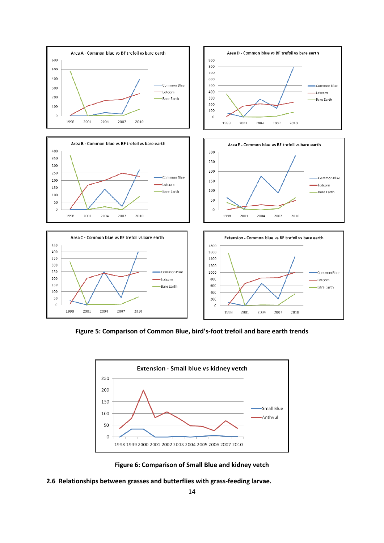

**Figure 5: Comparison of Common Blue, bird's‐foot trefoil and bare earth trends**



**Figure 6: Comparison of Small Blue and kidney vetch**

**2.6 Relationships between grasses and butterflies with grass‐feeding larvae.**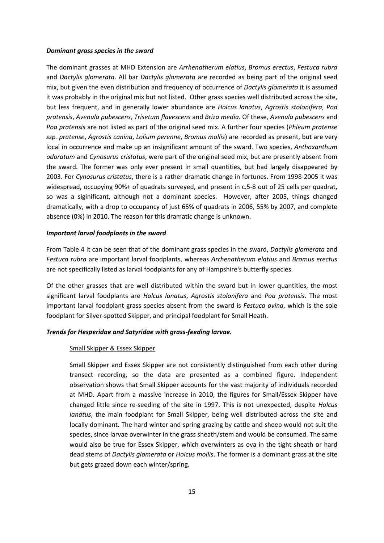#### *Dominant grass species in the sward*

The dominant grasses at MHD Extension are *Arrhenatherum elatius*, *Bromus erectus*, *Festuca rubra* and *Dactylis glomerata*. All bar *Dactylis glomerata* are recorded as being part of the original seed mix, but given the even distribution and frequency of occurrence of *Dactylis glomerata* it is assumed it was probably in the original mix but not listed. Other grass species well distributed across the site, but less frequent, and in generally lower abundance are *Holcus lanatus*, *Agrostis stolonifera*, *Poa pratensis*, *Avenula pubescens*, *Trisetum flavescens* and *Briza media*. Of these, *Avenula pubescens* and *Poa pratensis* are not listed as part of the original seed mix. A further four species (*Phleum pratense ssp. pratense*, *Agrostis canina*, *Lolium perenne*, *Bromus mollis*) are recorded as present, but are very local in occurrence and make up an insignificant amount of the sward. Two species, *Anthoxanthum odoratum* and *Cynosurus cristatus*, were part of the original seed mix, but are presently absent from the sward. The former was only ever present in small quantities, but had largely disappeared by 2003. For *Cynosurus cristatus*, there is a rather dramatic change in fortunes. From 1998‐2005 it was widespread, occupying 90%+ of quadrats surveyed, and present in c.5‐8 out of 25 cells per quadrat, so was a siginificant, although not a dominant species. However, after 2005, things changed dramatically, with a drop to occupancy of just 65% of quadrats in 2006, 55% by 2007, and complete absence (0%) in 2010. The reason for this dramatic change is unknown.

#### *Important larval foodplants in the sward*

From Table 4 it can be seen that of the dominant grass species in the sward, *Dactylis glomerata* and *Festuca rubra* are important larval foodplants, whereas *Arrhenatherum elatius* and *Bromus erectus* are not specifically listed as larval foodplants for any of Hampshire's butterfly species.

Of the other grasses that are well distributed within the sward but in lower quantities, the most significant larval foodplants are *Holcus lanatus*, *Agrostis stolonifera* and *Poa pratensis*. The most important larval foodplant grass species absent from the sward is *Festuca ovina*, which is the sole foodplant for Silver‐spotted Skipper, and principal foodplant for Small Heath.

### *Trends for Hesperidae and Satyridae with grass‐feeding larvae.*

#### Small Skipper & Essex Skipper

Small Skipper and Essex Skipper are not consistently distinguished from each other during transect recording, so the data are presented as a combined figure. Independent observation shows that Small Skipper accounts for the vast majority of individuals recorded at MHD. Apart from a massive increase in 2010, the figures for Small/Essex Skipper have changed little since re‐seeding of the site in 1997. This is not unexpected, despite *Holcus lanatus*, the main foodplant for Small Skipper, being well distributed across the site and locally dominant. The hard winter and spring grazing by cattle and sheep would not suit the species, since larvae overwinter in the grass sheath/stem and would be consumed. The same would also be true for Essex Skipper, which overwinters as ova in the tight sheath or hard dead stems of *Dactylis glomerata* or *Holcus mollis*. The former is a dominant grass at the site but gets grazed down each winter/spring.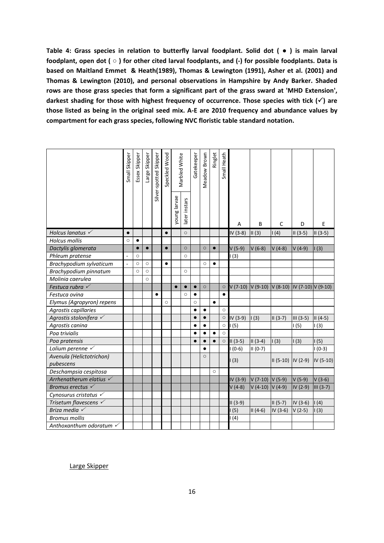**Table 4: Grass species in relation to butterfly larval foodplant. Solid dot ( ● ) is main larval** foodplant, open dot ( $\circ$ ) for other cited larval foodplants, and (-) for possible foodplants. Data is **based on Maitland Emmet & Heath(1989), Thomas & Lewington (1991), Asher et al. (2001) and Thomas & Lewington (2010), and personal observations in Hampshire by Andy Barker. Shaded rows are those grass species that form a significant part of the grass sward at 'MHD Extension', darkest shading for those with highest frequency of occurrence. Those species with tick () are** those listed as being in the original seed mix. A-E are 2010 frequency and abundance values by **compartment for each grass species, following NVC floristic table standard notation.** 

|                                    | Small Skipper            | Essex Skipper | Large Skipper | Silver-spotted Skipper | Speckled Wood |              | Marbled White | Gatekeeper | Meadow Brown | Ringlet   | Small Heath |           |                    |                        |                                   |             |
|------------------------------------|--------------------------|---------------|---------------|------------------------|---------------|--------------|---------------|------------|--------------|-----------|-------------|-----------|--------------------|------------------------|-----------------------------------|-------------|
|                                    |                          |               |               |                        |               | young larvae | later instars |            |              |           |             | Α         | B                  | C                      | D                                 | E           |
| Holcus lanatus $\checkmark$        | $\bullet$                |               |               |                        | $\bullet$     |              | $\circ$       |            |              |           |             | IV (3-8)  | $\parallel$ II (3) | 1(4)                   | $II(3-5)$                         | $II(3-5)$   |
| <b>Holcus mollis</b>               | $\circ$                  | $\bullet$     |               |                        |               |              |               |            |              |           |             |           |                    |                        |                                   |             |
| Dactylis glomerata                 |                          | $\bullet$     | $\bullet$     |                        | $\bullet$     |              | $\circ$       |            | $\circ$      | $\bullet$ |             | $V(5-9)$  | $V(6-8)$           | $V(4-8)$               | $V(4-9)$                          | 1(3)        |
| Phleum pratense                    | $\overline{\phantom{0}}$ | $\circ$       |               |                        |               |              | $\circ$       |            |              |           |             | (3)       |                    |                        |                                   |             |
| Brachypodium sylvaticum            | $\frac{1}{2}$            | $\circ$       | $\circ$       |                        | $\bullet$     |              |               |            | $\circ$      | $\bullet$ |             |           |                    |                        |                                   |             |
| Brachypodium pinnatum              |                          | $\circ$       | $\circ$       |                        |               |              | $\circ$       |            |              |           |             |           |                    |                        |                                   |             |
| Molinia caerulea                   |                          |               | $\circ$       |                        |               |              |               |            |              |           |             |           |                    |                        |                                   |             |
| Festuca rubra $\checkmark$         |                          |               |               |                        |               |              | $\bullet$     | $\bullet$  | $\circ$      |           | $\circ$     | $V(7-10)$ |                    |                        | $V(9-10) V(8-10) V(7-10) V(9-10)$ |             |
| Festuca ovina                      |                          |               |               | $\bullet$              |               |              | $\circ$       | $\bullet$  |              |           | $\bullet$   |           |                    |                        |                                   |             |
| Elymus (Agropyron) repens          |                          |               |               |                        | $\circ$       |              |               | $\circ$    |              | $\bullet$ |             |           |                    |                        |                                   |             |
| Agrostis capillaries               |                          |               |               |                        |               |              |               | $\bullet$  | $\bullet$    |           | $\circ$     |           |                    |                        |                                   |             |
| Agrostis stolonifera √             |                          |               |               |                        |               |              |               | $\bullet$  | $\bullet$    |           | $\circ$     | IV (3-9)  | $\parallel$ (3)    | $II(3-7)$              | $III (3-5)$                       | $II(4-5)$   |
| Agrostis canina                    |                          |               |               |                        |               |              |               | $\bullet$  | $\bullet$    |           | $\circ$     | (5)       |                    |                        | 1(5)                              | 1(3)        |
| Poa trivialis                      |                          |               |               |                        |               |              |               |            | $\bullet$    | $\bullet$ | $\circ$     |           |                    |                        |                                   |             |
| Poa pratensis                      |                          |               |               |                        |               |              |               | $\bullet$  | $\bullet$    | $\bullet$ | $\circ$     | $II(3-5)$ | $II(3-4)$          | 1(3)                   | 1(3)                              | 1(5)        |
| Lolium perenne $\checkmark$        |                          |               |               |                        |               |              |               |            | $\bullet$    |           |             | $(0-6)$   | II (0-7)           |                        |                                   | $1(0-3)$    |
| Avenula (Helictotrichon)           |                          |               |               |                        |               |              |               |            | $\circ$      |           |             |           |                    |                        |                                   |             |
| pubescens                          |                          |               |               |                        |               |              |               |            |              |           |             | (3)       |                    | $II (5-10)$ $IV (2-9)$ |                                   | IV (5-10)   |
| Deschampsia cespitosa              |                          |               |               |                        |               |              |               |            |              | $\circ$   |             |           |                    |                        |                                   |             |
| Arrhenatherum elatius $\checkmark$ |                          |               |               |                        |               |              |               |            |              |           |             | IV (3-9)  | $V(7-10)$          | $V(5-9)$               | $V(5-9)$                          | $V(3-6)$    |
| Bromus erectus $\checkmark$        |                          |               |               |                        |               |              |               |            |              |           |             | $V(4-8)$  | $V(4-10)$          | $V(4-9)$               | $IV(2-9)$                         | $III (3-7)$ |
| Cynosurus cristatus $\checkmark$   |                          |               |               |                        |               |              |               |            |              |           |             |           |                    |                        |                                   |             |
| Trisetum flavescens $\checkmark$   |                          |               |               |                        |               |              |               |            |              |           |             | $II(3-9)$ |                    | $II (5-7)$             | IV (3-6)                          | 1(4)        |
| Briza media $\checkmark$           |                          |               |               |                        |               |              |               |            |              |           |             | (5)       | $II(4-6)$          | $IV(3-6)$              | $V(2-5)$                          | 1(3)        |
| <b>Bromus mollis</b>               |                          |               |               |                        |               |              |               |            |              |           |             | (4)       |                    |                        |                                   |             |
| Anthoxanthum odoratum √            |                          |               |               |                        |               |              |               |            |              |           |             |           |                    |                        |                                   |             |

Large Skipper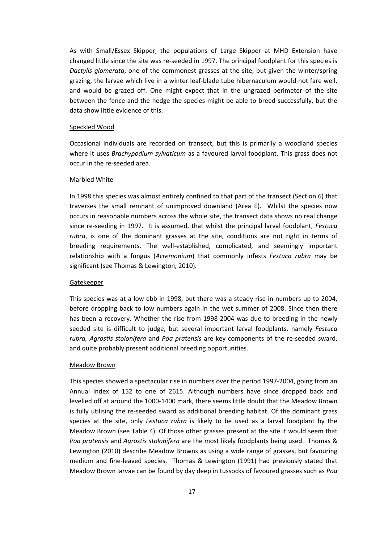As with Small/Essex Skipper, the populations of Large Skipper at MHD Extension have changed little since the site was re-seeded in 1997. The principal foodplant for this species is *Dactylis glomerata*, one of the commonest grasses at the site, but given the winter/spring grazing, the larvae which live in a winter leaf-blade tube hibernaculum would not fare well, and would be grazed off. One might expect that in the ungrazed perimeter of the site between the fence and the hedge the species might be able to breed successfully, but the data show little evidence of this.

#### Speckled Wood

Occasional individuals are recorded on transect, but this is primarily a woodland species where it uses *Brachypodium sylvaticum* as a favoured larval foodplant. This grass does not occur in the re‐seeded area.

#### Marbled White

In 1998 this species was almost entirely confined to that part of the transect (Section 6) that traverses the small remnant of unimproved downland (Area E). Whilst the species now occurs in reasonable numbers across the whole site, the transect data shows no real change since re‐seeding in 1997. It is assumed, that whilst the principal larval foodplant, *Festuca rubra*, is one of the dominant grasses at the site, conditions are not right in terms of breeding requirements. The well‐established, complicated, and seemingly important relationship with a fungus (*Acremonium*) that commonly infests *Festuca rubra* may be significant (see Thomas & Lewington, 2010).

#### Gatekeeper

This species was at a low ebb in 1998, but there was a steady rise in numbers up to 2004, before dropping back to low numbers again in the wet summer of 2008. Since then there has been a recovery. Whether the rise from 1998‐2004 was due to breeding in the newly seeded site is difficult to judge, but several important larval foodplants, namely *Festuca rubra, Agrostis stolonifera* and *Poa pratensis* are key components of the re‐seeded sward, and quite probably present additional breeding opportunities.

#### Meadow Brown

This species showed a spectacular rise in numbers over the period 1997‐2004, going from an Annual Index of 152 to one of 2615. Although numbers have since dropped back and levelled off at around the 1000‐1400 mark, there seems little doubt that the Meadow Brown is fully utilising the re‐seeded sward as additional breeding habitat. Of the dominant grass species at the site, only *Festuca rubra* is likely to be used as a larval foodplant by the Meadow Brown (see Table 4). Of those other grasses present at the site it would seem that *Poa pratensis* and *Agrostis stolonifera* are the most likely foodplants being used. Thomas & Lewington (2010) describe Meadow Browns as using a wide range of grasses, but favouring medium and fine-leaved species. Thomas & Lewington (1991) had previously stated that Meadow Brown larvae can be found by day deep in tussocks of favoured grasses such as *Poa*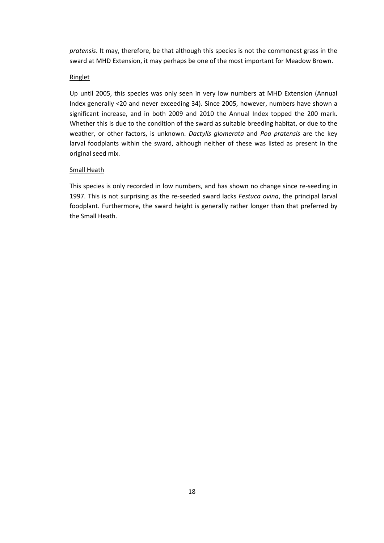*pratensis*. It may, therefore, be that although this species is not the commonest grass in the sward at MHD Extension, it may perhaps be one of the most important for Meadow Brown.

#### Ringlet

Up until 2005, this species was only seen in very low numbers at MHD Extension (Annual Index generally <20 and never exceeding 34). Since 2005, however, numbers have shown a significant increase, and in both 2009 and 2010 the Annual Index topped the 200 mark. Whether this is due to the condition of the sward as suitable breeding habitat, or due to the weather, or other factors, is unknown. *Dactylis glomerata* and *Poa pratensis* are the key larval foodplants within the sward, although neither of these was listed as present in the original seed mix.

#### Small Heath

This species is only recorded in low numbers, and has shown no change since re‐seeding in 1997. This is not surprising as the re‐seeded sward lacks *Festuca ovina*, the principal larval foodplant. Furthermore, the sward height is generally rather longer than that preferred by the Small Heath.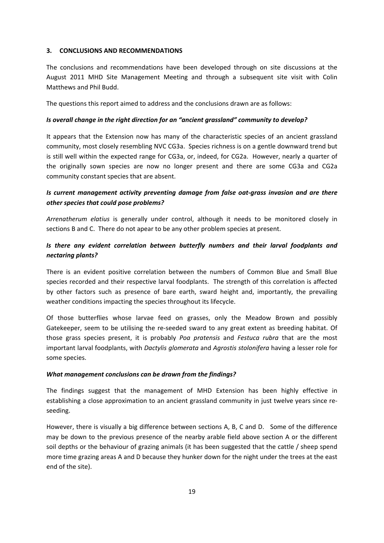### **3. CONCLUSIONS AND RECOMMENDATIONS**

The conclusions and recommendations have been developed through on site discussions at the August 2011 MHD Site Management Meeting and through a subsequent site visit with Colin Matthews and Phil Budd.

The questions this report aimed to address and the conclusions drawn are as follows:

## *Is overall change in the right direction for an "ancient grassland" community to develop?*

It appears that the Extension now has many of the characteristic species of an ancient grassland community, most closely resembling NVC CG3a. Species richness is on a gentle downward trend but is still well within the expected range for CG3a, or, indeed, for CG2a. However, nearly a quarter of the originally sown species are now no longer present and there are some CG3a and CG2a community constant species that are absent.

## *Is current management activity preventing damage from false oat‐grass invasion and are there other species that could pose problems?*

*Arrenatherum elatius* is generally under control, although it needs to be monitored closely in sections B and C. There do not apear to be any other problem species at present.

## *Is there any evident correlation between butterfly numbers and their larval foodplants and nectaring plants?*

There is an evident positive correlation between the numbers of Common Blue and Small Blue species recorded and their respective larval foodplants. The strength of this correlation is affected by other factors such as presence of bare earth, sward height and, importantly, the prevailing weather conditions impacting the species throughout its lifecycle.

Of those butterflies whose larvae feed on grasses, only the Meadow Brown and possibly Gatekeeper, seem to be utilising the re‐seeded sward to any great extent as breeding habitat. Of those grass species present, it is probably *Poa pratensis* and *Festuca rubra* that are the most important larval foodplants, with *Dactylis glomerata* and *Agrostis stolonifera* having a lesser role for some species.

## *What management conclusions can be drawn from the findings?*

The findings suggest that the management of MHD Extension has been highly effective in establishing a close approximation to an ancient grassland community in just twelve years since reseeding.

However, there is visually a big difference between sections A, B, C and D. Some of the difference may be down to the previous presence of the nearby arable field above section A or the different soil depths or the behaviour of grazing animals (it has been suggested that the cattle / sheep spend more time grazing areas A and D because they hunker down for the night under the trees at the east end of the site).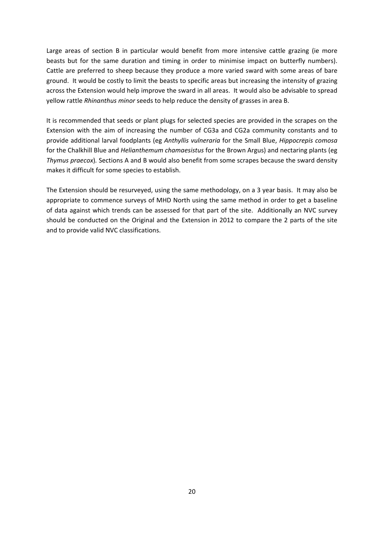Large areas of section B in particular would benefit from more intensive cattle grazing (ie more beasts but for the same duration and timing in order to minimise impact on butterfly numbers). Cattle are preferred to sheep because they produce a more varied sward with some areas of bare ground. It would be costly to limit the beasts to specific areas but increasing the intensity of grazing across the Extension would help improve the sward in all areas. It would also be advisable to spread yellow rattle *Rhinanthus minor* seeds to help reduce the density of grasses in area B.

It is recommended that seeds or plant plugs for selected species are provided in the scrapes on the Extension with the aim of increasing the number of CG3a and CG2a community constants and to provide additional larval foodplants (eg *Anthyllis vulneraria* for the Small Blue, *Hippocrepis comosa* for the Chalkhill Blue and *Helianthemum chamaesistus* for the Brown Argus) and nectaring plants (eg *Thymus praecox*)*.* Sections A and B would also benefit from some scrapes because the sward density makes it difficult for some species to establish.

The Extension should be resurveyed, using the same methodology, on a 3 year basis. It may also be appropriate to commence surveys of MHD North using the same method in order to get a baseline of data against which trends can be assessed for that part of the site. Additionally an NVC survey should be conducted on the Original and the Extension in 2012 to compare the 2 parts of the site and to provide valid NVC classifications.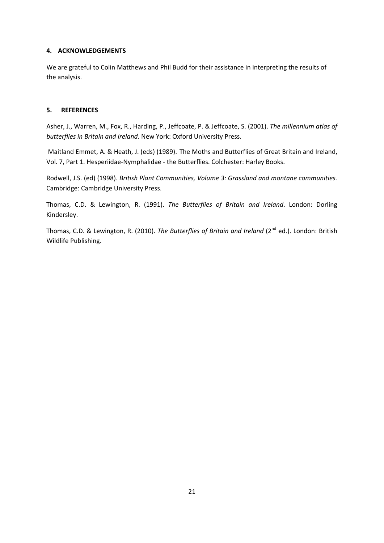## **4. ACKNOWLEDGEMENTS**

We are grateful to Colin Matthews and Phil Budd for their assistance in interpreting the results of the analysis.

## **5. REFERENCES**

Asher, J., Warren, M., Fox, R., Harding, P., Jeffcoate, P. & Jeffcoate, S. (2001). *The millennium atlas of butterflies in Britain and Ireland.* New York: Oxford University Press.

Maitland Emmet, A. & Heath, J. (eds) (1989). The Moths and Butterflies of Great Britain and Ireland, Vol. 7, Part 1. Hesperiidae‐Nymphalidae ‐ the Butterflies. Colchester: Harley Books.

Rodwell, J.S. (ed) (1998). *British Plant Communities, Volume 3: Grassland and montane communities.* Cambridge: Cambridge University Press.

Thomas, C.D. & Lewington, R. (1991). *The Butterflies of Britain and Ireland*. London: Dorling Kindersley.

Thomas, C.D. & Lewington, R. (2010). *The Butterflies of Britain and Ireland* (2nd ed.). London: British Wildlife Publishing.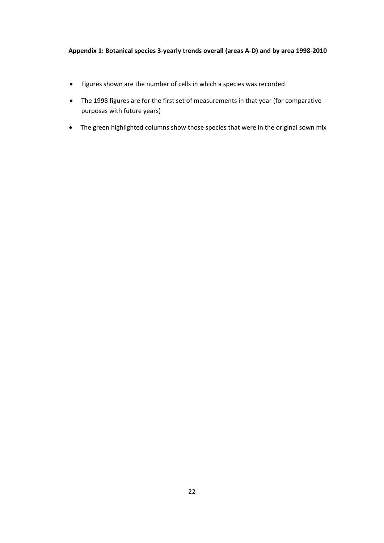## **Appendix 1: Botanical species 3‐yearly trends overall (areas A‐D) and by area 1998‐2010**

- Figures shown are the number of cells in which a species was recorded
- The 1998 figures are for the first set of measurements in that year (for comparative purposes with future years)
- The green highlighted columns show those species that were in the original sown mix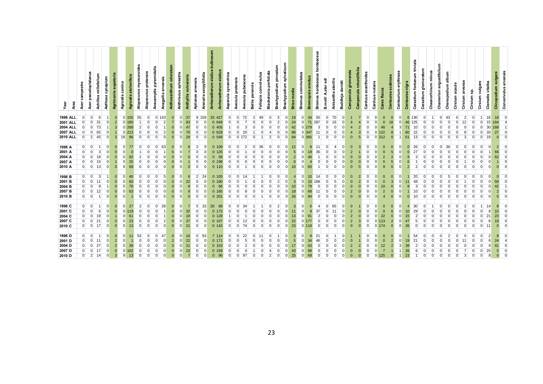| Year              | Area | campestre<br>Acer | pseudoplatanus<br>Acer | Achillea millefolium | Agrimonia eupatoria<br>cynapium<br>Aethusa | Agrostis canina      | stolonifera<br>Agrostis | Alopecurus myosuroides | pratensis<br>Alopecurus | Anacamptis pyramidalis | arvensis<br>Anagallis | odoratum<br>sylvestris<br>Anthoxanthum<br>Anthriscus |                | Anthyllis vulneraria<br>arvensis<br>Aphanes | Arenaria serpyllifolia     | musoalud<br>Arrhenatherum elatius | elatius<br>Arrhenatherum | Asperula cynanchica | Avenula pratensis | pubescens<br>Avenula | Bellis perennis | Fallopia convolvulus | pinnatum<br>Blackstonia perfoliata<br>Brachypodium | Brachypodium sylvaticum | Briza media | commutatus<br>Bromus | <b>Bromopsis erectus</b> | Bromus hordeaceus hordeaceus | डु<br>ster<br>B.moll/ | Anisantha sterilis | Buddleja davidii | Campanula glomerata | rotundifolia<br>Campanula | acanthoides<br>Carduus | Carduus nutans<br>flacca<br>Carex 1 | Centaurea scabiosa | Centaurium erythraea | nigra<br><b>Centaurea</b> | triviale<br>Cerastium glomeratum<br>Cerastium fontanum | minus<br>Chaenorhinum | angustifolium<br>Chamerion | Chenopodium album | Cirsium acaule | arvense<br>Cirsium | ္ၿ<br>Cirsium | vulgare<br>vitalba<br>Clematis<br>Cirsium | Clinopodium vulgare | Convolvulus arvensis |
|-------------------|------|-------------------|------------------------|----------------------|--------------------------------------------|----------------------|-------------------------|------------------------|-------------------------|------------------------|-----------------------|------------------------------------------------------|----------------|---------------------------------------------|----------------------------|-----------------------------------|--------------------------|---------------------|-------------------|----------------------|-----------------|----------------------|----------------------------------------------------|-------------------------|-------------|----------------------|--------------------------|------------------------------|-----------------------|--------------------|------------------|---------------------|---------------------------|------------------------|-------------------------------------|--------------------|----------------------|---------------------------|--------------------------------------------------------|-----------------------|----------------------------|-------------------|----------------|--------------------|---------------|-------------------------------------------|---------------------|----------------------|
| <b>1998 ALL</b>   |      | $\Omega$          | $\Omega$               | 6                    |                                            | $\mathbf{0}$         | $0$ 155                 | 55                     | $\overline{0}$          | 0 143                  |                       | $\mathbf{0}$                                         | $\Omega$       | 37                                          | 9 159                      | 33 427                            |                          | $\overline{0}$      | $\overline{0}$    | 72                   | $\overline{2}$  | 49                   | $\Omega$                                           | $\overline{3}$          | 19          |                      | $\overline{0}$<br>34     | 50                           | $\overline{0}$        | 70                 | $\Omega$         | $\mathbf 1$         |                           | $\Omega$               | <b>q</b>                            | $\Omega$           | $\Omega$             | 6                         | 130                                                    | $\overline{0}$        | $\Omega$                   | 43                | $\Omega$       | $\overline{2}$     |               | 16                                        | 18                  | $\Omega$             |
| 2001 ALL          |      |                   | $\Omega$               | 31                   |                                            | $\overline{2}$       | 0.180                   |                        | $\Omega$                |                        |                       |                                                      | $\Omega$       | 83                                          | $\overline{0}$<br>$\Omega$ | 0649                              |                          | $\Omega$            |                   |                      |                 |                      |                                                    |                         | 24          |                      | $\overline{0}$<br>71     | 287                          |                       |                    |                  |                     |                           |                        |                                     |                    | $\Omega$             | 46                        | 125                                                    |                       |                            |                   | $\Omega$       |                    |               | 15<br>$\Omega$                            | 164                 |                      |
| <b>2004 ALL</b>   |      |                   | $\Omega$               | 73                   |                                            | 3                    | $0$ 268                 | $\mathcal{P}$          |                         |                        |                       |                                                      |                | 47                                          | $\overline{0}$             | 0.405                             |                          |                     |                   |                      |                 |                      |                                                    |                         | 42          |                      |                          |                              |                       |                    |                  |                     |                           |                        |                                     |                    |                      |                           |                                                        |                       |                            |                   |                |                    |               | 30                                        |                     |                      |
| <b>2007 ALL</b>   |      | $\mathbf 0$       | $\overline{0}$         | 65                   |                                            |                      | $0\,213$                | $\Omega$               | $\Omega$                |                        | $\overline{2}$        |                                                      | $\Omega$       | 70                                          | $\overline{0}$<br>$\Omega$ | 0629                              |                          | $\Omega$            | $\Omega$          | 20                   |                 |                      |                                                    |                         | 89          |                      | 347                      | 11                           |                       |                    |                  |                     |                           |                        | 122                                 |                    |                      | 80                        | 22                                                     |                       |                            |                   |                |                    |               | 33                                        | 27                  |                      |
| <b>2010 ALL</b>   |      | $\overline{0}$    | $\overline{2}$         | 45                   |                                            | $\overline{3}$<br>18 | 96                      | $\Omega$               | $\Omega$                |                        | $\Omega$              | $\Omega$                                             |                | 28                                          | $\overline{0}$<br>$\Omega$ |                                   | 0.549                    | $\Omega$            | 0172              |                      |                 |                      | $\overline{2}$                                     | $\Omega$                | 84          |                      | 0 365                    | $\overline{1}$               | $\Omega$              | $\Omega$           |                  | $\Omega$            | $\overline{5}$            | $\Omega$               | $\Omega$<br>312                     |                    |                      | 61                        | 13                                                     |                       |                            |                   |                |                    |               | 19                                        |                     | $\Omega$             |
|                   |      |                   |                        |                      |                                            |                      |                         |                        |                         |                        |                       |                                                      |                |                                             |                            |                                   |                          |                     |                   |                      |                 |                      |                                                    |                         |             |                      |                          |                              |                       |                    |                  |                     |                           |                        |                                     |                    |                      |                           |                                                        |                       |                            |                   |                |                    |               |                                           |                     |                      |
| 1998 A            |      | $\overline{0}$    | $\Omega$               |                      | $\Omega$                                   |                      | 77                      | $\Omega$               | <sup>n</sup>            | $\Omega$               | 63                    |                                                      |                | 8                                           | $\overline{2}$             | 0.109                             |                          | $\Omega$            | $\Omega$          | $\mathcal{P}$        |                 | 36                   | $\Omega$                                           | $\Omega$                | 12          |                      | $\Omega$                 | $\mathbf{Q}$<br>11           |                       |                    |                  |                     |                           |                        |                                     |                    |                      |                           | 26                                                     |                       |                            |                   |                |                    |               |                                           | $\Omega$            |                      |
| 2001 A            |      | $\overline{0}$    | $\overline{0}$         |                      |                                            |                      |                         |                        |                         |                        |                       | 5                                                    |                |                                             | $\overline{0}$             | $\Omega$                          | 125                      |                     |                   |                      |                 |                      |                                                    |                         |             |                      |                          | 36                           |                       |                    |                  |                     |                           |                        |                                     |                    |                      |                           | 27                                                     |                       |                            |                   |                |                    |               |                                           | 66                  |                      |
| 2004 A            |      | $\Omega$          | $\Omega$               |                      |                                            |                      |                         | $\mathcal{D}$          |                         |                        |                       |                                                      |                |                                             | $\Omega$                   |                                   | 58                       |                     |                   |                      |                 |                      |                                                    |                         |             |                      |                          |                              |                       |                    |                  |                     |                           |                        |                                     |                    |                      |                           |                                                        |                       |                            |                   |                |                    |               |                                           |                     |                      |
| 2007 A            |      | $\overline{0}$    | $\overline{0}$         | 15                   |                                            |                      | 25                      |                        |                         |                        |                       |                                                      |                |                                             | $\Omega$                   | $\mathbf{0}$                      |                          |                     |                   |                      |                 |                      |                                                    |                         |             |                      | $\Omega$                 |                              |                       |                    |                  |                     |                           |                        |                                     |                    |                      |                           |                                                        |                       |                            |                   |                |                    |               |                                           |                     |                      |
| 2010 A            |      | $\overline{0}$    | $\overline{0}$         | 13                   | n                                          | <sub>9</sub>         | 69                      | $\Omega$               | $\Omega$                |                        | $\Omega$              | $\Omega$                                             | $\Omega$       |                                             | $\overline{0}$             | 0,110                             |                          | $\Omega$            |                   |                      |                 |                      | $\Omega$                                           | $\Omega$                | 10          |                      | $\overline{0}$           | 83<br>$\overline{1}$         |                       |                    |                  | $\Omega$            | 5                         |                        |                                     | $\alpha$           |                      | $\mathcal{P}$             | $\overline{2}$                                         |                       |                            |                   | $\Omega$       |                    |               |                                           | $\Omega$            |                      |
|                   |      |                   |                        |                      |                                            |                      |                         |                        |                         |                        |                       |                                                      |                |                                             |                            |                                   |                          |                     |                   |                      |                 |                      |                                                    |                         |             |                      |                          |                              |                       |                    |                  |                     |                           |                        |                                     |                    |                      |                           |                                                        |                       |                            |                   |                |                    |               |                                           |                     |                      |
| 1998 <sub>B</sub> |      | $\overline{0}$    | $\Omega$               |                      |                                            |                      |                         |                        |                         |                        |                       |                                                      |                |                                             | $\overline{2}$<br>-24      | 0.105                             |                          | <sup>n</sup>        |                   | 14                   |                 |                      |                                                    |                         |             |                      | $\Omega$                 | 14                           |                       |                    |                  |                     |                           |                        |                                     |                    |                      |                           | 20                                                     |                       |                            |                   |                |                    |               |                                           |                     |                      |
| 2001 <sub>B</sub> |      | $\overline{0}$    | $\Omega$               |                      |                                            |                      |                         |                        |                         |                        |                       |                                                      |                | 22                                          | $\Omega$                   |                                   |                          |                     |                   |                      |                 |                      |                                                    |                         |             |                      | $\Omega$                 |                              |                       |                    |                  |                     |                           |                        |                                     |                    |                      |                           |                                                        |                       |                            |                   |                |                    |               |                                           |                     |                      |
| 2004 <sub>B</sub> |      | $\overline{0}$    | $\Omega$               |                      |                                            |                      |                         |                        |                         |                        |                       |                                                      |                |                                             | $\Omega$                   |                                   |                          |                     |                   |                      |                 |                      |                                                    |                         |             |                      | $\Omega$                 |                              |                       |                    |                  |                     |                           |                        |                                     |                    |                      |                           |                                                        |                       |                            |                   |                |                    |               |                                           |                     |                      |
| 2007 <sub>B</sub> |      | $\overline{0}$    | $\overline{0}$         |                      |                                            |                      | 63                      |                        |                         |                        |                       |                                                      |                | 9                                           | $\overline{0}$             | 0.165                             |                          | $\Omega$            |                   |                      |                 |                      |                                                    |                         | 18          |                      | $\Omega$<br>68           | 11                           |                       |                    |                  |                     |                           |                        |                                     |                    |                      |                           |                                                        |                       |                            |                   |                |                    |               |                                           |                     |                      |
| 2010 <sub>B</sub> |      | $\overline{0}$    | $\overline{0}$         |                      |                                            |                      |                         | $\Omega$               | $\Omega$                |                        |                       |                                                      |                | $\Omega$                                    | $\overline{0}$<br>$\Omega$ | 0201                              |                          | $\Omega$            | $\Omega$          |                      |                 |                      | $\Omega$                                           | $\Omega$                | 26          |                      | $\overline{0}$<br>94     | $\Omega$                     |                       | $\Omega$           |                  | $\Omega$            |                           |                        |                                     |                    |                      | $\Omega$                  | 10                                                     |                       |                            |                   |                |                    |               |                                           | $\Omega$            |                      |
|                   |      |                   |                        |                      |                                            |                      |                         |                        |                         |                        |                       |                                                      |                |                                             |                            |                                   |                          |                     |                   |                      |                 |                      |                                                    |                         |             |                      |                          |                              |                       |                    |                  |                     |                           |                        |                                     |                    |                      |                           |                                                        |                       |                            |                   |                |                    |               |                                           |                     |                      |
| 1998 <sub>C</sub> |      | $\overline{0}$    | $\overline{0}$         |                      | $\Omega$                                   | $\Omega$             | 27                      | $\overline{2}$         | $\Omega$                | $\Omega$               | 28                    | $\Omega$                                             | $\Omega$       | 7                                           | 5 <sup>5</sup><br>33       | 26                                | 99                       | $\Omega$            | $\Omega$          | 34                   |                 |                      | $\Omega$                                           | $\overline{2}$          |             | 3                    | $\Omega$                 | $\overline{4}$<br>6          | $\Omega$              | 65                 |                  | $\Omega$            |                           |                        |                                     | $\Omega$           |                      | 4                         | 30                                                     |                       | U                          |                   | O              | $\overline{2}$     |               | 14                                        |                     | ſ                    |
| 2001 C            |      | $\overline{0}$    | $\Omega$               |                      |                                            |                      |                         |                        |                         |                        |                       | $\Omega$                                             |                | 32                                          | $\overline{0}$             | $\Omega$                          |                          |                     |                   |                      |                 |                      |                                                    |                         |             |                      | $\overline{0}$           | 37<br>$\mathbf{Q}$           |                       |                    |                  |                     |                           |                        |                                     |                    |                      |                           | 29                                                     |                       |                            |                   |                |                    |               |                                           |                     | 15.                  |
| 2004 <sub>C</sub> |      | $\overline{0}$    | $\Omega$               | 19                   |                                            |                      | 61                      |                        |                         |                        |                       |                                                      |                | 18                                          | $\Omega$                   | 0.128                             |                          |                     |                   |                      |                 |                      |                                                    |                         | 13          |                      | $\Omega$                 | 2                            |                       |                    |                  |                     |                           |                        | 22                                  |                    |                      | 15                        |                                                        |                       |                            |                   |                |                    |               |                                           | 23                  |                      |
| 2007 <sub>C</sub> |      | $\overline{0}$    | $\overline{0}$         | 21                   |                                            |                      | 23                      |                        |                         |                        |                       |                                                      |                | 37                                          | $\Omega$<br>$\Omega$       | 0.107                             |                          |                     |                   |                      |                 |                      |                                                    |                         | 22          |                      |                          | $\Omega$                     |                       |                    |                  |                     |                           |                        | 113                                 | $\overline{2}$     |                      |                           | 5                                                      |                       |                            |                   |                |                    |               |                                           |                     |                      |
| 2010 <sub>C</sub> |      | $\overline{0}$    | $0 \mid 17$            |                      | $\Omega$                                   | $\Omega$             | 13                      | $\Omega$               | $\Omega$                | $\Omega$               | $\Omega$              | $\Omega$                                             | 21<br>$\Omega$ |                                             | $\overline{0}$<br>$\Omega$ |                                   | 0.142                    | $\overline{0}$      | $\overline{0}$    | 74                   |                 |                      | $\Omega$                                           | $\Omega$                | 23          |                      | 0.119                    | $\Omega$                     |                       | $\Omega$           |                  | $\Omega$            | $\Omega$                  | $\Omega$               | 0.174                               |                    | $\Omega$             | 36                        | $\Omega$                                               |                       |                            |                   |                |                    |               | 11                                        |                     |                      |
|                   |      |                   |                        |                      |                                            |                      |                         |                        |                         |                        |                       |                                                      |                |                                             |                            |                                   |                          |                     |                   |                      |                 |                      |                                                    |                         |             |                      |                          |                              |                       |                    |                  |                     |                           |                        |                                     |                    |                      |                           |                                                        |                       |                            |                   |                |                    |               |                                           |                     |                      |
| 1998 D            |      | $\overline{0}$    | $\overline{0}$         |                      | $\Omega$                                   | $\Omega$             | 11                      | 53                     | $\Omega$                | $\overline{0}$         | 47                    | $\Omega$                                             | $\Omega$       | 16                                          | 0 <br>93                   | 7 114                             |                          | $\overline{0}$      | $\Omega$          | 22                   | $\Omega$        | 11                   | $\Omega$                                           |                         |             |                      | $\mathbf 0$              | 9<br>21                      |                       |                    |                  |                     |                           |                        |                                     |                    |                      |                           | 54                                                     |                       |                            |                   | $\Omega$       |                    |               |                                           | 2                   | ſ                    |
| 2001 D            |      | $\overline{0}$    | $\Omega$               |                      |                                            |                      |                         |                        |                         |                        |                       |                                                      |                | 22                                          | $\Omega$                   | 0.17                              |                          |                     |                   |                      |                 |                      |                                                    |                         |             |                      |                          |                              |                       |                    |                  |                     |                           |                        |                                     |                    |                      |                           |                                                        |                       |                            |                   |                |                    |               |                                           |                     |                      |
| 2004 <sub>D</sub> |      | $\overline{0}$    | $\overline{0}$         | $^{27}$              |                                            |                      |                         |                        |                         |                        |                       |                                                      |                | 21                                          | $\overline{0}$             | 0.153                             |                          |                     |                   |                      |                 |                      |                                                    |                         |             |                      | $\Omega$                 |                              |                       |                    |                  |                     |                           |                        |                                     |                    |                      |                           |                                                        |                       |                            |                   |                |                    |               |                                           |                     |                      |
| 2007 <sub>D</sub> |      | $\overline{0}$    | $\Omega$               |                      |                                            |                      |                         |                        |                         |                        |                       |                                                      |                | 23                                          |                            |                                   |                          |                     |                   |                      |                 |                      |                                                    |                         |             |                      |                          |                              |                       |                    |                  |                     |                           |                        |                                     |                    |                      |                           |                                                        |                       |                            |                   |                |                    |               |                                           |                     |                      |
| 2010 D            |      | $\overline{0}$    | $\overline{2}$         | 14                   |                                            |                      |                         |                        |                         |                        |                       |                                                      |                |                                             |                            |                                   |                          |                     |                   |                      |                 |                      |                                                    |                         |             |                      |                          |                              |                       |                    |                  |                     |                           |                        |                                     |                    |                      |                           |                                                        |                       |                            |                   |                |                    |               |                                           |                     |                      |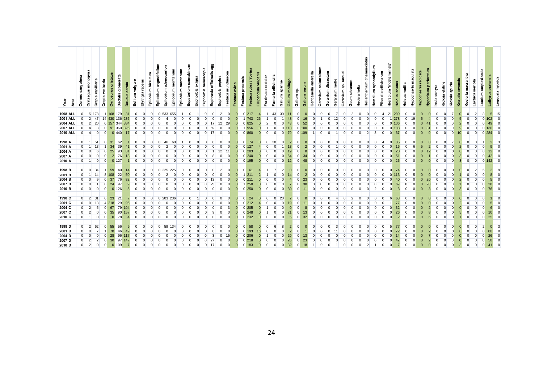| Yea               | Area | sanguinea<br>Cornus | Crataegus monogyna   | capillaris<br><b>Crepis</b> | vesicaria<br>Crepis | Cynosurus cristatus | glomerata<br>Dactylis | carota<br><b>Daucus</b> | Echium vulgare | repens<br>Elytrigia | Epilobium hirsutum | angustifolium<br>Epilobium | adenocaulon<br>Epilobium | Epilobium montanum | montanum<br>Epilobium | Eupatorium cannabinum | exigua<br>Euphorbia | Euphorbia helioscopia | agg<br>Euphrasia officinalis | Euphorbia peplus | Festuca arundinacea | Festuca ovina | Festuca pratensis | Festuca rubra / ?ovina | vulgaris<br>Filipendula | Fraxinus excelsion | Fumaria officinalis | aparine<br>Galium | Galium mollugo  | នូ<br>Galium   | Galium verum     | amarella<br>Gentianella | columbinum<br>Geranium | dissectum<br>Geranium | molle<br>Geranium | annual<br>ទឹ<br>Geranium | Geum urbanum   | Hedera helix | chamaecistus<br>Helianthemum | Heraclium sphondylium | Pilosella officinarum | Hieracium 'indeterminate' | Holcus lanatus | Holcus mollis  | Hypochaeris maculata | Hypochaeris radicata | Hypericum perforatum | conyz<br>lnula<br>E | Kickxia elatine | spuria<br>Kickxia | arvensis<br>Knautia | Koeleria macrantha | serriola<br>Lactuca | Lamium amplexicaule | Lathyrus pratensis | Legousia hybrida |
|-------------------|------|---------------------|----------------------|-----------------------------|---------------------|---------------------|-----------------------|-------------------------|----------------|---------------------|--------------------|----------------------------|--------------------------|--------------------|-----------------------|-----------------------|---------------------|-----------------------|------------------------------|------------------|---------------------|---------------|-------------------|------------------------|-------------------------|--------------------|---------------------|-------------------|-----------------|----------------|------------------|-------------------------|------------------------|-----------------------|-------------------|--------------------------|----------------|--------------|------------------------------|-----------------------|-----------------------|---------------------------|----------------|----------------|----------------------|----------------------|----------------------|---------------------|-----------------|-------------------|---------------------|--------------------|---------------------|---------------------|--------------------|------------------|
| <b>1998 ALL</b>   |      | $\overline{0}$      |                      | 5 178                       |                     | 1 168 179           |                       | 31                      | $\overline{0}$ | $\Omega$            | $\overline{0}$     |                            |                          | 533 655            |                       |                       | $\Omega$            | $\Omega$              | $\Omega$                     | $\overline{2}$   | $\Omega$            |               |                   | 0217                   |                         |                    | 43                  | 30                | 11              | $\overline{0}$ | $\Omega$         | $\Omega$                | $\Omega$               | $\Omega$              |                   | $\Omega$                 | $\overline{2}$ |              | $\Omega$                     | $\Omega$              | $\overline{4}$        | 21                        | 299            | $\Omega$       | $\Omega$             |                      |                      | $\Omega$            | $\Omega$        |                   |                     |                    | $\overline{2}$      | 8                   | 5 <sup>1</sup>     | -15              |
| <b>2001 ALL</b>   |      | $\Omega$            | $\overline{2}$       | 47                          | 14                  | 430                 | 136                   | 236                     | $\Omega$       |                     |                    |                            |                          |                    |                       |                       |                     |                       |                              |                  |                     |               |                   | 743                    | 26                      |                    |                     |                   | 48              | $\Omega$       | 16               | $\Omega$                |                        |                       |                   |                          |                |              |                              |                       |                       |                           |                |                | 19                   |                      |                      |                     |                 |                   |                     |                    |                     |                     |                    |                  |
| <b>2004 ALL</b>   |      | $\Omega$            | $\overline{2}$       | 20                          |                     | 0 157 344           |                       | 384                     |                |                     |                    |                            |                          |                    |                       |                       |                     |                       |                              |                  | 29                  |               |                   | 0 825                  |                         |                    |                     |                   | 43              | $\overline{0}$ | 52               |                         |                        |                       |                   |                          |                |              |                              |                       |                       |                           |                |                |                      |                      |                      |                     |                 |                   |                     |                    |                     |                     |                    |                  |
| <b>2007 ALL</b>   |      |                     |                      | 3                           |                     | 91 360              |                       | 326                     |                |                     |                    |                            |                          |                    |                       |                       |                     |                       | 69                           |                  |                     |               |                   | 956                    |                         |                    | $\Omega$            |                   |                 | $\Omega$       |                  |                         |                        |                       |                   |                          |                |              |                              |                       |                       |                           |                |                |                      |                      |                      |                     |                 |                   |                     |                    |                     |                     |                    |                  |
| <b>2010 ALL</b>   |      | $\Omega$            |                      |                             |                     | 0 440               |                       |                         | $\Omega$       |                     |                    |                            |                          |                    |                       |                       |                     |                       |                              |                  |                     |               |                   | 0 860                  | $\Omega$                | $\Omega$           | $\Omega$            | $\Omega$          | 79              |                | 0 <sup>109</sup> |                         |                        |                       |                   |                          |                |              |                              |                       |                       | $\Omega$                  | 37             |                |                      |                      |                      |                     |                 |                   |                     |                    |                     |                     |                    |                  |
|                   |      |                     |                      |                             |                     |                     |                       |                         |                |                     |                    |                            |                          |                    |                       |                       |                     |                       |                              |                  |                     |               |                   |                        |                         |                    |                     |                   |                 |                |                  |                         |                        |                       |                   |                          |                |              |                              |                       |                       |                           |                |                |                      |                      |                      |                     |                 |                   |                     |                    |                     |                     |                    |                  |
| 1998 A            |      | $\overline{0}$      | $\overline{1}$       | 51                          |                     | 31                  | 62                    |                         | $\Omega$       |                     |                    |                            |                          | 60                 |                       |                       |                     |                       |                              |                  |                     |               | $\Omega$          | 74                     |                         | $\Omega$           | 30                  |                   | 2               | $\Omega$       |                  | $\Omega$                |                        |                       |                   |                          |                |              |                              |                       |                       | $\Omega$                  |                |                |                      |                      |                      |                     |                 |                   |                     |                    |                     |                     | $\overline{2}$     |                  |
| 2001 A            |      | $\overline{0}$      |                      | 13                          |                     | 34                  | 39                    |                         |                |                     |                    |                            |                          |                    |                       |                       |                     |                       |                              |                  |                     |               | $\Omega$          | 127                    |                         |                    |                     |                   | 13              | $\Omega$       |                  |                         |                        |                       |                   |                          |                |              |                              |                       |                       |                           |                |                |                      |                      |                      |                     |                 |                   |                     |                    |                     |                     |                    |                  |
| 2004 A            |      | $\overline{0}$      |                      | 6                           |                     | 25                  | 93                    |                         |                |                     |                    |                            |                          |                    |                       |                       |                     |                       |                              |                  |                     |               |                   | 0'203                  |                         | $\Omega$           |                     |                   | 19              | $\Omega$       |                  |                         |                        |                       |                   |                          |                |              |                              |                       |                       |                           |                |                |                      |                      |                      |                     |                 |                   |                     |                    |                     |                     |                    |                  |
| 2007 A            |      | $\Omega$            |                      | $\Omega$                    |                     | $\overline{2}$      | 76                    |                         |                |                     |                    |                            |                          |                    |                       |                       |                     |                       |                              |                  |                     |               |                   | 0240                   | $\Omega$                |                    | $\Omega$            |                   | 64              | $\Omega$       |                  | $\Omega$                |                        |                       |                   |                          |                |              |                              |                       |                       |                           |                |                |                      |                      |                      |                     |                 |                   |                     |                    |                     |                     |                    |                  |
| 2010 A            |      | $\overline{0}$      |                      | $\Omega$                    |                     | $0$ 127             |                       |                         |                |                     |                    |                            |                          |                    |                       |                       |                     |                       |                              | $\Omega$         |                     |               |                   | 0 195                  | $\Omega$                | $\Omega$           | $\Omega$            |                   | 12              | $\overline{0}$ |                  | $\Omega$                |                        |                       |                   |                          |                |              |                              |                       |                       | $\Omega$                  | 25             | $\Omega$       |                      |                      |                      | $\Omega$            |                 |                   |                     |                    | $\Omega$            | $\Omega$            |                    |                  |
|                   |      |                     |                      |                             |                     |                     |                       |                         |                |                     |                    |                            |                          |                    |                       |                       |                     |                       |                              |                  |                     |               |                   |                        |                         |                    |                     |                   |                 |                |                  |                         |                        |                       |                   |                          |                |              |                              |                       |                       |                           |                |                |                      |                      |                      |                     |                 |                   |                     |                    |                     |                     |                    |                  |
| 1998 <sub>B</sub> |      | $\overline{0}$      | $\Omega$             | 34                          |                     | 59                  | 40                    |                         | $\overline{0}$ | O                   |                    |                            |                          | 225                |                       |                       |                     |                       |                              | $\overline{2}$   |                     |               | $\Omega$          | 61                     |                         |                    |                     | $\overline{2}$    | $\Omega$        | $\overline{0}$ |                  | $\Omega$                | $\Omega$               |                       |                   |                          |                |              |                              |                       |                       | 10 <sup>10</sup>          | 74             | $\Omega$       |                      |                      |                      | $\Omega$            | $\Omega$        |                   |                     | $\Omega$           | $\overline{2}$      | 5                   |                    |                  |
| 2001 <sub>B</sub> |      | $\overline{0}$      |                      |                             |                     |                     | 22                    |                         |                |                     |                    |                            |                          |                    |                       |                       |                     |                       |                              |                  |                     |               |                   |                        |                         |                    |                     |                   |                 | $\Omega$       |                  |                         |                        |                       |                   |                          |                |              |                              |                       |                       |                           |                |                |                      |                      |                      |                     |                 |                   |                     |                    |                     |                     |                    |                  |
| 2004 <sub>B</sub> |      | $\overline{0}$      |                      | 9                           |                     | 37                  | 76                    |                         |                |                     |                    |                            |                          |                    |                       |                       |                     |                       |                              |                  |                     |               |                   | 0211                   |                         |                    |                     |                   |                 | $\Omega$       | 23               | $\Omega$                |                        |                       |                   |                          |                |              |                              |                       |                       |                           |                |                |                      |                      |                      |                     |                 |                   |                     |                    |                     |                     |                    |                  |
| 2007 <sub>B</sub> |      | $\overline{0}$      |                      |                             |                     | 24                  | 97                    |                         |                |                     |                    |                            |                          |                    |                       |                       |                     |                       | 25                           |                  |                     |               |                   | 250                    | $\Omega$                | $\Omega$           |                     |                   |                 | $\Omega$       | 30               |                         |                        |                       |                   |                          |                |              |                              |                       |                       |                           |                |                |                      |                      |                      |                     |                 |                   |                     |                    |                     |                     |                    |                  |
| 2010 <sub>B</sub> |      | $\overline{0}$      | $\Omega$             | $\Omega$                    |                     | $0$ 126             |                       |                         | $\Omega$       |                     |                    |                            |                          |                    |                       |                       |                     |                       |                              |                  |                     |               |                   | $0$ 250                | $\Omega$                | $\Omega$           | $\Omega$            |                   | 30              | $\Omega$       |                  | $\Omega$                |                        |                       |                   |                          |                |              |                              |                       |                       |                           | 3              |                |                      |                      |                      |                     |                 |                   |                     |                    |                     |                     |                    |                  |
|                   |      |                     |                      |                             |                     |                     |                       |                         |                |                     |                    |                            |                          |                    |                       |                       |                     |                       |                              |                  |                     |               |                   |                        |                         |                    |                     |                   |                 |                |                  |                         |                        |                       |                   |                          |                |              |                              |                       |                       |                           |                |                |                      |                      |                      |                     |                 |                   |                     |                    |                     |                     |                    |                  |
| 1998 <sub>C</sub> |      |                     | $0 \quad 2 \quad 31$ |                             | $\overline{0}$      | 23                  | 21                    |                         | $\overline{0}$ | $\Omega$            | $\Omega$           |                            | 0 203 236                |                    |                       |                       | $\Omega$            | 0                     |                              | $\Omega$         |                     |               | $\Omega$          | 24                     |                         | $\Omega$           | $\overline{0}$      | 20                |                 | $\overline{0}$ |                  | $\Omega$                |                        |                       |                   |                          |                |              |                              | $\Omega$              |                       | 6                         | 63             |                |                      |                      |                      |                     |                 |                   |                     |                    | <sup>0</sup>        | $\Omega$            |                    |                  |
| 2001 C            |      | $\overline{0}$      | $\Omega$             | 13                          |                     |                     | 29                    |                         |                |                     |                    |                            |                          |                    |                       |                       |                     |                       |                              |                  |                     |               |                   | 0212                   |                         |                    |                     |                   |                 | $\Omega$       |                  |                         |                        |                       |                   |                          |                |              |                              |                       |                       |                           |                |                |                      |                      |                      |                     |                 |                   |                     |                    |                     |                     |                    |                  |
| 2004 C            |      | $\overline{0}$      | $\overline{2}$       | 5                           |                     | 67                  | 79                    |                         |                |                     |                    |                            |                          |                    |                       |                       |                     |                       |                              |                  |                     |               |                   | $0$ 205                |                         |                    |                     |                   |                 | $\Omega$       |                  |                         |                        |                       |                   |                          |                |              |                              |                       |                       |                           |                |                |                      |                      |                      |                     |                 |                   |                     |                    |                     |                     |                    |                  |
| 2007 <sub>C</sub> |      | $\overline{0}$      | $\overline{2}$       | $\Omega$                    |                     | 35                  | 90                    |                         |                |                     |                    |                            |                          |                    |                       |                       |                     |                       |                              |                  |                     |               |                   | 0248                   |                         |                    |                     |                   |                 | $\Omega$       |                  |                         |                        |                       |                   |                          |                |              |                              |                       |                       |                           |                |                |                      |                      |                      |                     |                 |                   |                     |                    |                     |                     |                    |                  |
| 2010 C            |      |                     | $0$ 1                | $\overline{0}$              | $\Omega$            | $\overline{0}$      | 78                    |                         | $\overline{0}$ | $\Omega$            | $\Omega$           |                            |                          |                    |                       | $\Omega$              |                     | $\Omega$              |                              | $\Omega$         |                     | $\Omega$      |                   | 0 232                  | $\Omega$                | $\Omega$           | $\Omega$            |                   | $5\overline{5}$ | $\overline{0}$ | 32               | $\Omega$                | O                      |                       |                   |                          | $\Omega$       |              |                              | $\Omega$              |                       | $\Omega$                  | $\overline{2}$ |                |                      |                      |                      | $\Omega$            |                 |                   |                     | O                  | $\Omega$            |                     | 25                 |                  |
|                   |      |                     |                      |                             |                     |                     |                       |                         |                |                     |                    |                            |                          |                    |                       |                       |                     |                       |                              |                  |                     |               |                   |                        |                         |                    |                     |                   |                 |                |                  |                         |                        |                       |                   |                          |                |              |                              |                       |                       |                           |                |                |                      |                      |                      |                     |                 |                   |                     |                    |                     |                     |                    |                  |
| 1998 D            |      |                     | $0 \quad 2$          | 62                          |                     | 55                  | 56                    |                         | $\overline{0}$ | $\Omega$            |                    |                            | 59                       | 134                |                       |                       |                     |                       |                              | $\Omega$         | $\Omega$            |               | $\Omega$          | 58                     | $\Omega$                | $\overline{0}$     | 6                   |                   | $\overline{2}$  | $\overline{0}$ |                  | $\mathbf{0}$            | $\Omega$               |                       | 3                 |                          |                |              |                              |                       |                       | 5                         | 77             | $\overline{0}$ |                      |                      |                      | $\overline{0}$      | $\Omega$        |                   |                     | $\Omega$           | $\Omega$            |                     |                    |                  |
| 2001D             |      | $\overline{0}$      |                      |                             |                     | 70                  | 46                    |                         |                |                     |                    |                            |                          |                    |                       |                       |                     |                       |                              |                  |                     |               | $\Omega$          | 193                    | 16                      |                    |                     |                   | $\overline{a}$  | $\Omega$       |                  | $\Omega$                |                        |                       |                   |                          |                |              |                              |                       |                       |                           |                |                |                      |                      |                      |                     |                 |                   |                     |                    |                     |                     |                    |                  |
| 2004 <sub>D</sub> |      | $\overline{0}$      |                      |                             |                     | 28                  | 96                    |                         |                |                     |                    |                            |                          |                    |                       |                       |                     |                       |                              |                  |                     |               |                   | 0.206                  |                         |                    |                     |                   | 20              | $\Omega$       |                  |                         |                        |                       |                   |                          |                |              |                              |                       |                       |                           |                |                |                      |                      |                      |                     |                 |                   |                     |                    |                     |                     |                    |                  |
| 2007 D            |      | $\overline{0}$      |                      |                             |                     | 30                  | 97                    |                         |                |                     |                    |                            |                          |                    |                       |                       |                     |                       |                              |                  |                     |               |                   | 0'218                  |                         |                    |                     |                   | 26              | $\Omega$       |                  |                         |                        |                       |                   |                          |                |              |                              |                       |                       |                           |                |                |                      |                      |                      |                     |                 |                   |                     |                    |                     |                     |                    |                  |
| 2010 D            |      | $\overline{0}$      | $\overline{2}$       | $\Omega$                    |                     | 0 109               |                       |                         |                |                     |                    |                            |                          |                    |                       |                       |                     |                       |                              |                  |                     |               |                   | $0$ 183                | $\Omega$                |                    | $\Omega$            |                   | 32              | $\Omega$       |                  |                         |                        |                       |                   |                          |                |              |                              |                       |                       |                           |                |                |                      |                      |                      | $\Omega$            |                 |                   |                     |                    |                     |                     |                    |                  |
|                   |      |                     |                      |                             |                     |                     |                       |                         |                |                     |                    |                            |                          |                    |                       |                       |                     |                       |                              |                  |                     |               |                   |                        |                         |                    |                     |                   |                 |                |                  |                         |                        |                       |                   |                          |                |              |                              |                       |                       |                           |                |                |                      |                      |                      |                     |                 |                   |                     |                    |                     |                     |                    |                  |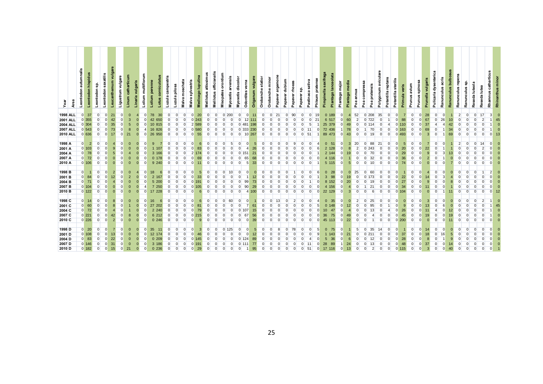| Year              | Area | Leontodon autumnalis<br>Leontodon hispidus | Leontodon sp.              | saxatilis<br>Leontodon | Leucanthemum vulgare | Ligustrum vulgare | catharticum<br>Linum | vulgaris<br>Linaria <sup>-</sup> | Lolium multiflorum | Lolium perenne | corniculatus<br>-otus | Luzula campestris | Luzula pilosa  | Malva moschata | Malva sylvestris | Medicago Iupulina | altissimus<br>Melilotus | Melilotus officianalis | orontium<br>Misopates | arvensis<br>Myosotis | Myosotis discolor | verna<br><b>Odontites</b> | vulgare<br>Origanum | Orobanche elatior | minor<br>Orobanche | argemone<br>Papaver | dubium<br>Papaver | rhoea<br>Papaver | ន្ល<br>Papaver | Pastinaca sativa | Phleum pratense | Pimpinella saxifraga | Plantago lanceolata | Plantago major             | Plantago media | Poa annua       | compressa<br>pratensis<br>Poa<br>Poa | Polygonum aviculare | Potentilla reptans   | Potentilla sterilis | avium<br>Primula veris<br>Prunus       | Prunus spinosa | Prunella vulgaris | dysenterica<br>Pulicaria   | Ranunculus acris | Ranunculus bulbosus | repens<br>culus<br>Ranun | S.<br>Ranunculus | luteola<br>Reseda | Reseda lutea   | catharticus<br>Rhamnus | Έ<br>Ē       |
|-------------------|------|--------------------------------------------|----------------------------|------------------------|----------------------|-------------------|----------------------|----------------------------------|--------------------|----------------|-----------------------|-------------------|----------------|----------------|------------------|-------------------|-------------------------|------------------------|-----------------------|----------------------|-------------------|---------------------------|---------------------|-------------------|--------------------|---------------------|-------------------|------------------|----------------|------------------|-----------------|----------------------|---------------------|----------------------------|----------------|-----------------|--------------------------------------|---------------------|----------------------|---------------------|----------------------------------------|----------------|-------------------|----------------------------|------------------|---------------------|--------------------------|------------------|-------------------|----------------|------------------------|--------------|
| <b>1998 ALL</b>   |      | $\Omega$<br>37                             | $\overline{0}$             | $\overline{0}$         | 21                   |                   | $\mathbf{0}$         |                                  | $\Omega$           | 78             | 30                    | $\Omega$          | $\overline{0}$ | $\overline{0}$ | $\overline{0}$   | 20                | $\overline{0}$          | $\overline{0}$         |                       | $0$ 200              | $\overline{0}$    | $\overline{0}$            | 11                  | $\overline{0}$    | $\overline{0}$     | 21                  | $\overline{0}$    | 90               | $\overline{0}$ | $\mathbf{0}$     | 19              |                      | 0 189               | $\mathbf{0}$               | -4             | 52              | $0$ 208                              | 35                  | $\mathbf{0}$         | $\Omega$            | $\overline{0}$<br>$\overline{7}$       | $\Omega$       | 28                | $\overline{0}$             | $\overline{0}$   |                     | $\overline{2}$           | $\Omega$         | $\overline{0}$    | 17             | $\mathbf{3}$           | $\mathbf 0$  |
| 2001 ALL          |      | 355                                        | $\Omega$                   |                        |                      |                   |                      |                                  | $\Omega$           |                | 42 650                |                   | U              |                | 0'243            |                   |                         |                        |                       |                      | $\Omega$          | 12                        |                     | $\Omega$          |                    |                     |                   |                  |                |                  | 21              |                      | 6 517               | $\overline{0}$             | 60             | $\overline{2}$  | $\Omega$<br>722                      |                     |                      |                     | 88<br>$\overline{0}$                   | $\Omega$       | 67                | $\overline{0}$             | 26               | 10 <sup>1</sup>     | $\Omega$                 |                  |                   |                |                        | 45           |
| <b>2004 ALL</b>   |      | $0$ 304                                    | $\Omega$                   | $\Omega$               | 35                   |                   |                      |                                  |                    |                | 10 815                |                   | $\Omega$       | $\Omega$       | 2 589            |                   |                         |                        |                       |                      |                   | 0'481                     | 198                 |                   |                    |                     |                   |                  |                |                  |                 | 25 379               |                     | $\overline{0}$             | 49             |                 | 0114                                 |                     | $\overline{4}$       | 110<br>$\Omega$     | $\overline{0}$                         |                | 37                | $\overline{\mathbf{4}}$    |                  |                     |                          |                  |                   |                |                        | 0            |
| <b>2007 ALL</b>   |      | 543                                        |                            | $\Omega$               | 73                   |                   | 8                    |                                  |                    |                | 16 826                |                   | $\Omega$       | $\Omega$       |                  | 580               |                         |                        |                       |                      |                   | 0 <sup>333</sup>          | 230                 |                   |                    |                     |                   |                  |                |                  |                 | 72 436               |                     |                            | 78             |                 | 70                                   |                     | $\Omega$             | 163<br>$\Omega$     | $\overline{0}$                         |                | 69                | $\overline{0}$             |                  |                     |                          |                  |                   |                |                        |              |
| <b>2010 ALL</b>   |      | 0 636                                      | $\overline{0}$             | $\Omega$               | 17                   |                   | 21                   | $\Omega$                         |                    |                | 26 950                |                   | $\overline{0}$ | $\Omega$       | $\Omega$         | 55                | $\Omega$                | $\Omega$               |                       | $\Omega$             | $\Omega$          |                           | 10 267              | $\Omega$          | $\Omega$           | $\Omega$            |                   |                  | $\Omega$       | 51               |                 | 89 473               |                     | $\overline{0}$             | 43             | $\Omega$        | $\overline{0}$<br>19                 | $\Omega$            | $\overline{0}$       | $0\,493$            | $\overline{0}$                         |                | $\overline{3}$    | $\overline{0}$             |                  | 69                  | $\Omega$                 |                  |                   |                |                        | 13           |
|                   |      |                                            |                            |                        |                      |                   |                      |                                  |                    |                |                       |                   |                |                |                  |                   |                         |                        |                       |                      |                   |                           |                     |                   |                    |                     |                   |                  |                |                  |                 |                      |                     |                            |                |                 |                                      |                     |                      |                     |                                        |                |                   |                            |                  |                     |                          |                  |                   |                |                        |              |
| 1998 A            |      | $\overline{0}$<br>$\overline{2}$           |                            |                        |                      |                   |                      |                                  |                    | 9              |                       |                   |                |                |                  |                   |                         |                        |                       |                      |                   |                           | 5                   |                   |                    |                     |                   |                  |                |                  |                 | $\mathbf{0}$         | -51                 | $\overline{0}$             | 3              | 20              | $\overline{0}$<br>88                 | 21                  | $\Omega$             |                     | $\overline{5}$<br>$\Omega$             |                |                   | $\Omega$                   |                  |                     | $\overline{2}$           |                  | $\overline{0}$    | 14             |                        | $\mathbf 0$  |
| 2001 A            |      | $0$ 103                                    |                            |                        |                      |                   |                      |                                  |                    |                |                       |                   |                |                |                  |                   |                         |                        |                       |                      |                   |                           |                     |                   |                    |                     |                   |                  |                |                  |                 | $\overline{2}$       | 128                 | $\Omega$                   |                |                 |                                      |                     | $\Omega$             |                     | 20<br>$\Omega$                         |                | 22                |                            |                  |                     |                          |                  |                   |                |                        | $\Omega$     |
| 2004 A            |      | $0$ 78                                     | $\Omega$                   |                        |                      |                   |                      |                                  |                    | 3              |                       |                   |                |                |                  |                   |                         |                        |                       |                      |                   |                           | 21                  |                   |                    |                     |                   |                  |                |                  |                 |                      | 2 144               | $\Omega$                   |                |                 |                                      |                     | $\mathbf{0}$         |                     | 29<br>$\overline{0}$                   |                | 9                 | $\Omega$                   |                  | 13                  | $\Omega$                 |                  |                   |                |                        |              |
| 2007 A            |      | 0 <sub>72</sub>                            | $\overline{0}$             |                        |                      |                   |                      |                                  |                    |                | 0.178                 |                   |                |                |                  |                   |                         |                        |                       |                      |                   | 65                        |                     | <sup>0</sup>      |                    |                     |                   |                  |                |                  |                 |                      | 4 116               | $\overline{0}$             |                |                 | $\overline{0}$<br>32                 |                     | $\overline{0}$       |                     | 36<br>$\overline{0}$                   |                | $\overline{2}$    | $\Omega$                   |                  |                     |                          |                  |                   |                |                        |              |
| 2010 A            |      | $0$ 106                                    | $\Omega$                   |                        |                      |                   |                      | $\Omega$                         |                    |                | 9 2 4 0               | $\Omega$          | $\overline{0}$ | $\Omega$       | $\Omega$         |                   | O.                      |                        |                       |                      | $\Omega$          | -5                        | 33                  | $\Omega$          |                    |                     |                   |                  | O              | $\Omega$         |                 |                      | 5 115               | $\overline{0}$             | 5 <sup>5</sup> | $\Omega$        | $\overline{0}$<br>10                 | $\Omega$            | $\overline{0}$       | $\Omega$            | 74<br>$\overline{0}$                   |                | $\Omega$          | $\overline{0}$             |                  |                     | $\Omega$                 |                  |                   |                |                        |              |
|                   |      |                                            |                            |                        |                      |                   |                      |                                  |                    |                |                       |                   |                |                |                  |                   |                         |                        |                       |                      |                   |                           |                     |                   |                    |                     |                   |                  |                |                  |                 |                      |                     |                            |                |                 |                                      |                     |                      |                     |                                        |                |                   |                            |                  |                     |                          |                  |                   |                |                        |              |
| 1998 <sub>B</sub> |      | $\Omega$                                   |                            |                        |                      |                   |                      |                                  |                    | 18             | 6                     |                   |                |                |                  |                   | O                       |                        |                       |                      |                   |                           | $\Omega$            |                   |                    |                     |                   |                  |                |                  |                 | $\mathbf{0}$         | 28                  | $\Omega$                   | $\Omega$       | 25              | $\Omega$<br>60                       |                     | $\Omega$             |                     | $\overline{0}$                         |                |                   | $\overline{0}$             |                  |                     | $\Omega$                 |                  |                   |                |                        |              |
| 2001 <sub>B</sub> |      | $\overline{0}$<br>84                       | $\Omega$                   |                        |                      |                   |                      |                                  |                    | $\overline{2}$ |                       |                   |                |                |                  | 33                |                         |                        |                       |                      |                   |                           |                     |                   |                    |                     |                   |                  |                |                  |                 | 3                    | 98                  | $\Omega$                   |                |                 | $\Omega$                             |                     | $\Omega$             |                     | 22<br>$\Omega$                         |                |                   | $\Omega$                   |                  |                     |                          |                  |                   |                |                        |              |
| 2004 <sub>B</sub> |      | 0 <sub>71</sub>                            | $\Omega$                   |                        |                      |                   |                      |                                  |                    |                | 5 200                 |                   |                |                |                  |                   |                         |                        |                       |                      |                   | 99                        |                     |                   |                    |                     |                   |                  |                |                  |                 | 8                    | 152                 | $\mathbf 0$                | 20             |                 | $\overline{0}$                       |                     | $\mathbf 0$          |                     | 27<br>$\overline{0}$                   |                | 9                 |                            |                  |                     |                          |                  |                   |                |                        |              |
| 2007 <sub>B</sub> |      | $0$ 104                                    | $\Omega$                   |                        |                      |                   |                      |                                  |                    |                | 7 250                 |                   |                |                |                  |                   |                         |                        |                       |                      |                   | 90                        | 29                  |                   |                    |                     |                   |                  |                |                  |                 |                      | 4 156               | $\Omega$                   |                |                 | 21                                   |                     | $\Omega$             |                     | 34<br>$\overline{0}$                   |                |                   | $\overline{0}$             |                  |                     |                          |                  |                   |                |                        |              |
| 2010 <sub>B</sub> |      | $0$ 122                                    | $\Omega$                   |                        | $\Omega$             |                   | $\Omega$             | $\Omega$                         |                    |                | 17 228                |                   | $\Omega$       | $\Omega$       |                  |                   |                         |                        |                       |                      | $\Omega$          |                           | 100                 | $\Omega$          |                    | <sup>n</sup>        |                   |                  | $\Omega$       | $\Omega$         |                 | 22 129               |                     | $\overline{0}$             | 3              | $\Omega$        | $\Omega$                             | ĥ<br>$\Omega$       | $\Omega$             | $\Omega$<br>104     | $\overline{0}$                         |                | $\Omega$          | $\Omega$                   |                  |                     | $\Omega$                 |                  |                   |                |                        | 12           |
|                   |      |                                            |                            |                        |                      |                   |                      |                                  |                    |                |                       |                   |                |                |                  |                   |                         |                        |                       |                      |                   |                           |                     |                   |                    |                     |                   |                  |                |                  |                 |                      |                     |                            |                |                 |                                      |                     |                      |                     |                                        |                |                   |                            |                  |                     |                          |                  |                   |                |                        |              |
| 1998 <sub>C</sub> |      | $0-14$                                     |                            |                        |                      |                   |                      |                                  |                    | 16             |                       |                   |                |                |                  |                   |                         |                        |                       | 60                   |                   |                           |                     |                   |                    | 13                  |                   |                  | O              |                  |                 | $\mathbf{0}$         | 35                  | $\Omega$                   |                | $\overline{2}$  | $\overline{0}$<br>25                 |                     | $\Omega$             |                     | <sup>0</sup>                           |                | 3                 | $\Omega$                   |                  |                     | O                        |                  | $\Omega$          | $\overline{2}$ |                        | $\mathbf{0}$ |
| 2001 C            |      | $\overline{0}$<br>60                       | $\overline{0}$             |                        |                      |                   |                      |                                  |                    | 27             | 202                   |                   |                |                |                  |                   |                         |                        |                       |                      |                   |                           |                     |                   |                    |                     |                   |                  |                |                  |                 | $\Omega$             |                     |                            |                |                 |                                      |                     |                      |                     | $\Omega$                               |                | 13                | $\Omega$                   |                  |                     |                          |                  |                   |                |                        |              |
| 2004 C            |      | 0 <sub>72</sub>                            | $\mathbf 0$                |                        |                      |                   |                      |                                  |                    | $\overline{2}$ | -240                  |                   |                |                |                  |                   |                         |                        |                       |                      |                   |                           |                     |                   |                    |                     |                   |                  |                |                  |                 |                      |                     | $\Omega$                   |                |                 |                                      |                     |                      |                     | 26<br>$\Omega$                         |                |                   | 4                          |                  | 12                  |                          |                  |                   |                |                        |              |
| 2007 <sub>C</sub> |      | $0$ 221                                    | $\Omega$                   |                        |                      |                   |                      |                                  |                    |                | 6 212                 |                   |                |                |                  |                   |                         |                        |                       |                      |                   |                           |                     |                   |                    |                     |                   |                  |                |                  |                 | 36                   | 75                  | $\Omega$                   |                |                 |                                      |                     |                      |                     | 45                                     |                | 19                |                            |                  |                     |                          |                  |                   |                |                        |              |
| 2010 C            |      | 0226                                       | $\Omega$                   |                        | $\overline{2}$       |                   | $\Omega$             | $\Omega$                         |                    |                | 0 246                 | $\Omega$          | $\Omega$       | $\Omega$       |                  | 9                 | O.                      |                        |                       |                      |                   |                           | 39                  | $\Omega$          | $\Omega$           | $\Omega$            |                   |                  |                |                  | $\Omega$        | 45                   | 113                 | $\overline{0}$             | 22             | $\Omega$        | $\Omega$                             |                     | $\Omega$             | $0\,200$            | $\Omega$                               |                | $\Omega$          | $\Omega$                   |                  |                     | $\Omega$                 |                  |                   |                |                        |              |
|                   |      | $0\quad 20$                                |                            |                        |                      |                   |                      |                                  |                    |                |                       |                   | $\Omega$       |                |                  |                   | $\Omega$                | $\Omega$               |                       | 125                  |                   | $\Omega$                  |                     | $\Omega$          |                    | 8                   | $\Omega$          |                  |                |                  |                 |                      |                     | $\overline{0}$             |                | $5\overline{5}$ | $\overline{0}$<br>35                 | 14                  | $\Omega$             |                     | $\overline{0}$                         |                |                   |                            |                  |                     | <sup>0</sup>             |                  |                   |                |                        |              |
| 1998 D            |      |                                            | $\Omega$                   |                        |                      |                   | 0                    |                                  |                    | 35             | 11                    |                   |                |                |                  |                   |                         |                        |                       |                      |                   |                           | 5                   |                   |                    |                     |                   | 78               |                |                  | 5               | $\mathbf{0}$         | 75                  |                            |                |                 |                                      |                     |                      |                     |                                        |                | 14                | $\overline{0}$             |                  |                     |                          |                  |                   |                |                        | $\mathbf 0$  |
| 2001 D            |      | $0$ 108<br>$0 \quad 83$                    | $\overline{0}$<br>$\Omega$ | $\Omega$               | 13<br>22             |                   |                      |                                  |                    | 12             | 0.209                 |                   |                |                |                  |                   |                         |                        |                       |                      |                   |                           |                     |                   |                    |                     |                   |                  |                |                  |                 | 5                    | -143<br>36          | $\overline{0}$<br>$\Omega$ | 21             | $\Omega$        | 0 211<br>$\Omega$                    |                     | $\Omega$<br>$\Omega$ |                     | 37<br>$\overline{0}$<br>28<br>$\Omega$ |                | 18<br>8           | $\overline{0}$<br>$\Omega$ | 16               |                     |                          |                  |                   |                |                        |              |
| 2004 <sub>D</sub> |      |                                            | $\Omega$                   |                        | 31                   |                   |                      |                                  |                    | 3              |                       |                   |                |                |                  |                   |                         |                        |                       |                      |                   |                           |                     |                   |                    |                     |                   |                  |                |                  |                 |                      |                     |                            |                |                 |                                      |                     |                      |                     | $\Omega$                               |                | 37                | $\Omega$                   |                  |                     |                          |                  |                   |                |                        |              |
| 2007 D<br>2010 D  |      | $0$ 146<br>$0$ 182                         | $\overline{0}$             |                        |                      |                   |                      | $\Omega$                         |                    |                | 186                   |                   |                |                |                  | 29                |                         |                        |                       |                      |                   |                           |                     |                   |                    |                     |                   |                  |                |                  |                 |                      |                     |                            |                |                 |                                      |                     |                      |                     | $\Omega$                               |                | $\mathbf{B}$      | $\Omega$                   |                  |                     |                          |                  |                   |                |                        |              |
|                   |      |                                            |                            |                        | 15                   |                   | 21                   |                                  |                    |                | 0.236                 |                   |                |                |                  |                   |                         |                        |                       |                      |                   |                           |                     |                   |                    |                     |                   |                  |                |                  |                 |                      |                     |                            |                |                 |                                      |                     |                      |                     | 115                                    |                |                   |                            |                  |                     |                          |                  |                   |                |                        |              |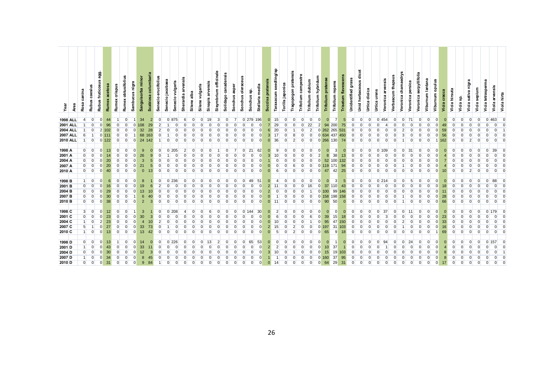| yea               | Area | canina<br>Rosa          | Rubus caesius  | agg.<br><b>Rubus fruticosus</b> | acetosa<br><b>Rumex</b> | crispus<br>Rumex | obtusifolius<br><b>Rumex</b> | Sambucus nigra | Sanguisorba minor | columbaria<br><b>Scabiosa</b> | erucifolius<br>Senecio | Senecio jacobaea | Senecio vulgaris | Sherardia arvensis | alba<br>Silene | vulgaris<br>Silene | Sinapis arvensis | Sisymbrium officinale | Solidago canadensis | asper<br><b>Sonchus</b> | oleraceus<br>Sonchus | မ္တ<br>Sonchus | Stellaria media | Succisa pratensis | seedling/sp<br>Taraxacum | Torilis japonica | Tragopogon pratensis | Trifolium campestre | Trifolium dubium | Trifolium hybridum | pratense<br>Trifolium | Trifolium repens | Trisetum flavescens | Unidentified grass | dicot<br><b>Unid herbaceous</b> | Urtica dioica  | Urtica urens | Veronica arvensis | Verbascum thapsus | Veronica chamaedrys | persica<br>Veronica | serpyllifolia<br>Veronica | Viburnum lantana | Viburnum opulus | cracca<br>Vicia | Vicia hirsuta  | င္တဲ<br>Vicia | Vicia sativa nigra | sepium<br>Vicia | tetrasperma<br>Vicia | Viola arvensis | Viola hirta |
|-------------------|------|-------------------------|----------------|---------------------------------|-------------------------|------------------|------------------------------|----------------|-------------------|-------------------------------|------------------------|------------------|------------------|--------------------|----------------|--------------------|------------------|-----------------------|---------------------|-------------------------|----------------------|----------------|-----------------|-------------------|--------------------------|------------------|----------------------|---------------------|------------------|--------------------|-----------------------|------------------|---------------------|--------------------|---------------------------------|----------------|--------------|-------------------|-------------------|---------------------|---------------------|---------------------------|------------------|-----------------|-----------------|----------------|---------------|--------------------|-----------------|----------------------|----------------|-------------|
| <b>1998 ALL</b>   |      | $\overline{\mathbf{4}}$ | $\overline{0}$ | $\mathbf 0$                     | 44                      | $\overline{1}$   | 0                            |                | 34                | $\overline{2}$                | $\overline{0}$         |                  | 0 875            | $6 \overline{6}$   | $\mathbf{0}$   | $\overline{0}$     | 19               | 3                     | $\Omega$            | $\overline{7}$          |                      | 0 279          | 196             | $\mathbf{0}$      | 15                       | $\overline{0}$   | $\mathbf 0$          | $\Omega$            | $\Omega$         | $\Omega$           | $\mathbf{0}$          | $\overline{7}$   | 5                   | $\overline{0}$     | $\Omega$                        | $\overline{0}$ |              | $0\,454$          | $\Omega$          | $\overline{0}$      | 71                  | $\mathbf 0$               |                  |                 |                 | $\overline{0}$ | $\Omega$      |                    | $\Omega$        | $\overline{0}$       | 463            |             |
| <b>2001 ALL</b>   |      |                         |                | $\Omega$                        |                         | $\Omega$         | U                            | $\Omega$       | 108               | 29                            | 2                      |                  |                  |                    |                | $\Omega$           |                  |                       |                     |                         | $\Omega$             | $\Omega$       | $\Omega$        |                   | 29                       | $\overline{0}$   | $\Omega$             | $\Omega$            | 22               | $\overline{2}$     | 94                    | 200              | 75                  | $\Omega$           |                                 |                |              |                   |                   |                     |                     |                           |                  |                 |                 | $\Omega$       |               |                    |                 |                      |                |             |
| <b>2004 ALL</b>   |      |                         |                |                                 | 2 102                   | $\Omega$         | $\Omega$                     | $\Omega$       | 32                | 28                            | $\overline{2}$         | $\Omega$         |                  |                    |                |                    |                  |                       |                     |                         |                      |                |                 | 6                 | 20                       | $\Omega$         |                      |                     |                  |                    | 262                   | 265              | 531                 |                    |                                 |                |              |                   |                   |                     |                     |                           |                  |                 | 59              | $\Omega$       |               |                    |                 |                      |                |             |
| <b>2007 ALL</b>   |      | 6                       |                |                                 | 111                     | $\Omega$         |                              |                | 68                | 163                           | $\Omega$               |                  |                  |                    |                |                    |                  |                       |                     |                         |                      |                |                 | 3                 | 17                       | $\Omega$         |                      |                     |                  |                    | 634                   | 437              | 450                 |                    |                                 |                |              |                   |                   |                     |                     |                           |                  |                 | 56              | $\Omega$       |               |                    |                 |                      |                |             |
| <b>2010 ALL</b>   |      |                         | $\Omega$       |                                 | 122                     | $\overline{0}$   | $\Omega$                     | $\overline{0}$ |                   | 24 142                        | $\mathbf{1}$           | $\Omega$         |                  |                    |                | $\Omega$           |                  |                       |                     |                         | $\Omega$             | $\Omega$       |                 | $\Omega$          | 36                       | $\overline{0}$   | $\overline{2}$       | $\Omega$            |                  | $\Omega$           |                       | 266 130          | 74                  | $\Omega$           | $\Omega$                        | $\Omega$       |              |                   |                   |                     |                     |                           |                  |                 | 162             | $\overline{0}$ |               |                    |                 |                      |                |             |
|                   |      |                         |                |                                 |                         |                  |                              |                |                   |                               |                        |                  |                  |                    |                |                    |                  |                       |                     |                         |                      |                |                 |                   |                          |                  |                      |                     |                  |                    |                       |                  |                     |                    |                                 |                |              |                   |                   |                     |                     |                           |                  |                 |                 |                |               |                    |                 |                      |                |             |
| 1998 A            |      | $\overline{0}$          | $\overline{0}$ | $\overline{0}$                  | 13                      | $\Omega$         | $\Omega$                     |                | 9                 |                               | $\overline{0}$         |                  | 0 205            |                    |                |                    |                  |                       |                     |                         | $\Omega$             | 21             | 62              |                   | 9                        | $\Omega$         | $\Omega$             |                     |                  |                    |                       | 3                |                     |                    |                                 |                | $\Omega$     |                   |                   |                     | 31                  |                           |                  |                 |                 | $\Omega$       |               |                    |                 |                      |                |             |
| 2001 A            |      | $\overline{0}$          | $\overline{0}$ |                                 |                         | $\Omega$         |                              |                | 26                |                               |                        |                  |                  |                    |                |                    |                  |                       |                     |                         |                      |                |                 | 3                 | 10                       | $\Omega$         |                      |                     |                  |                    |                       | 38               |                     |                    |                                 |                |              |                   |                   |                     |                     |                           |                  |                 |                 |                |               |                    |                 |                      |                |             |
| 2004 A            |      | $\overline{0}$          | $\overline{0}$ |                                 | 20                      | $\Omega$         |                              |                |                   |                               | U                      |                  |                  |                    |                |                    |                  |                       |                     |                         |                      |                |                 |                   |                          |                  |                      |                     |                  |                    | 52                    | 100              | 32                  |                    |                                 |                |              |                   |                   |                     |                     |                           |                  |                 |                 | O              |               |                    |                 |                      |                |             |
| 2007 A            |      | $\overline{0}$          | $\overline{0}$ | $\Omega$                        | 20                      | O                |                              |                | 21                |                               | $\Omega$               |                  |                  |                    |                |                    |                  |                       |                     |                         |                      |                |                 |                   |                          |                  |                      |                     |                  |                    |                       | 171              | 94                  |                    |                                 |                |              |                   |                   |                     |                     |                           |                  |                 |                 |                |               |                    |                 |                      |                |             |
| 2010 A            |      | $\overline{0}$          | $\overline{0}$ |                                 |                         | $\Omega$         |                              |                | $\Omega$          | 13                            | $\overline{0}$         |                  |                  |                    |                |                    |                  |                       |                     |                         |                      |                |                 |                   |                          | <sup>0</sup>     |                      |                     |                  |                    |                       | 42               | 25                  |                    |                                 |                |              |                   |                   |                     |                     |                           |                  |                 |                 | $\Omega$       |               |                    |                 |                      |                |             |
|                   |      |                         |                |                                 |                         |                  |                              |                |                   |                               |                        |                  |                  |                    |                |                    |                  |                       |                     |                         |                      |                |                 |                   |                          |                  |                      |                     |                  |                    |                       |                  |                     |                    |                                 |                |              |                   |                   |                     |                     |                           |                  |                 |                 |                |               |                    |                 |                      |                |             |
| 1998 <sub>B</sub> |      |                         | $\overline{0}$ | $\mathbf 0$                     | 6                       | $\Omega$         | $\Omega$                     |                | 8                 |                               | $\overline{0}$         |                  | 0 236            |                    |                |                    |                  |                       |                     |                         | $\Omega$             | 49             | 51              |                   | $\overline{4}$           | $\Omega$         | $\Omega$             |                     |                  |                    | $\Omega$              | 3                |                     | $\Omega$           |                                 | $\Omega$       |              | 0214              |                   |                     | 5                   |                           |                  |                 |                 | $\Omega$       | n             |                    |                 |                      | 88             |             |
| 2001 <sub>B</sub> |      | $\overline{0}$          | $\overline{0}$ | $\Omega$                        |                         | $\Omega$         |                              |                | 19                |                               | $\overline{2}$         |                  |                  |                    |                |                    |                  |                       |                     |                         |                      |                |                 |                   | 11                       |                  |                      |                     |                  |                    | 37                    | 110              | 43                  |                    |                                 |                |              |                   |                   |                     |                     |                           |                  |                 |                 |                |               |                    |                 |                      |                |             |
| 2004 <sub>B</sub> |      | $\overline{0}$          | $\overline{0}$ | 0                               | 29                      | $\Omega$         |                              |                | 13                |                               | $\Omega$               |                  |                  |                    |                |                    |                  |                       |                     |                         |                      |                |                 |                   |                          |                  |                      |                     |                  |                    | 100                   | 99               | 146                 |                    |                                 |                |              |                   |                   |                     |                     |                           |                  |                 |                 | $\Omega$       |               |                    |                 |                      |                |             |
| 2007 <sub>B</sub> |      | $\overline{0}$          |                | $\Omega$                        | 30                      | $\Omega$         |                              |                | 6                 |                               | $\Omega$               |                  |                  |                    |                |                    |                  |                       |                     |                         |                      |                |                 |                   |                          |                  |                      |                     |                  |                    | 158                   | 198              | 158                 |                    |                                 |                |              |                   |                   |                     |                     |                           |                  |                 | 28              | $\Omega$       |               |                    |                 |                      |                |             |
| 2010 <sub>B</sub> |      | $\overline{0}$          | $\overline{0}$ | $\Omega$                        | 38                      | $\overline{0}$   | $\Omega$                     |                | $\overline{2}$    | 3                             | $\Omega$               | $\Omega$         |                  |                    |                |                    |                  |                       |                     |                         | $\Omega$             | $\Omega$       |                 |                   | 11                       | $\overline{0}$   | $\Omega$             |                     |                  | $\Omega$           | 90                    | 50               | $\Omega$            | $\Omega$           | $\Omega$                        | $\Omega$       | $\Omega$     |                   |                   |                     | $\Omega$            |                           |                  |                 | 66              | $\overline{0}$ | $\Omega$      |                    |                 |                      |                |             |
|                   |      |                         |                |                                 |                         |                  |                              |                |                   |                               |                        |                  |                  |                    |                |                    |                  |                       |                     |                         |                      |                |                 |                   |                          |                  |                      |                     |                  |                    |                       |                  |                     |                    |                                 |                |              |                   |                   |                     |                     |                           |                  |                 |                 |                |               |                    |                 |                      |                |             |
| 1998 C            |      | 3 <sup>l</sup>          | $\overline{0}$ | $\overline{0}$                  | 12                      | $\overline{0}$   | $\Omega$                     |                | 3                 |                               | $\overline{0}$         |                  | 0 208            |                    |                | $\Omega$           | 6                |                       | $\Omega$            | $\Omega$                | $\Omega$             | 144            | 30              | $\Omega$          | $\overline{2}$           | $\Omega$         | $\Omega$             |                     |                  |                    | $\Omega$              | $\Omega$         |                     | $\Omega$           |                                 | $\Omega$       | $\Omega$     | 37                |                   | $\Omega$            | 11                  | O                         |                  | $\Omega$        |                 | $\Omega$       | $\Omega$      |                    |                 | $\Omega$             | 179            |             |
| 2001 C            |      | $\mathbf{0}$            |                | $\Omega$                        | 23                      | O                |                              |                | 30                |                               | $\Omega$               |                  |                  |                    |                |                    |                  |                       |                     |                         |                      |                |                 |                   | 6                        |                  |                      |                     |                  |                    |                       | 15               |                     |                    |                                 |                |              |                   |                   |                     |                     |                           |                  |                 |                 |                |               |                    |                 |                      |                |             |
| 2004 C            |      |                         | $\overline{0}$ | $\overline{2}$                  | 23                      | $\overline{0}$   | ŋ                            |                | $\overline{4}$    |                               | $\overline{2}$         |                  |                  |                    |                |                    |                  |                       |                     |                         |                      |                |                 |                   | 10                       |                  |                      |                     |                  |                    | 95                    | 47               | 50                  |                    |                                 |                |              |                   |                   |                     |                     |                           |                  |                 | 33              | $\Omega$       |               |                    |                 |                      |                |             |
| 2007 <sub>C</sub> |      | 5 <sup>5</sup>          |                | $\Omega$                        | 27                      | $\Omega$         |                              |                | 33                | 73                            | U                      |                  |                  |                    |                |                    |                  |                       |                     |                         |                      |                |                 |                   | 15                       |                  |                      |                     |                  |                    |                       | 31               |                     |                    |                                 |                |              |                   |                   |                     |                     |                           |                  |                 |                 |                |               |                    |                 |                      |                |             |
| 2010 <sub>C</sub> |      | 1 <sup>1</sup>          | $\overline{0}$ | $\overline{0}$                  | 13                      | $\overline{0}$   | $\overline{0}$               | 0              | 13                | 42                            | $\overline{0}$         | $\overline{0}$   | $\overline{0}$   | $\Omega$           | $\Omega$       | $\mathbf{0}$       | $\Omega$         |                       |                     |                         | $\Omega$             | $\Omega$       |                 | $\Omega$          | 5                        | $\overline{0}$   | $\overline{2}$       | $\Omega$            | $\Omega$         | $\Omega$           | 65                    | 9                | 18                  | O                  |                                 | $\overline{0}$ | O            | $\Omega$          |                   |                     | <sup>0</sup>        | O                         | $\Omega$         |                 | 69              | $\overline{0}$ | $\Omega$      |                    |                 |                      |                |             |
|                   |      |                         |                |                                 |                         |                  |                              |                |                   |                               |                        |                  |                  |                    |                |                    |                  |                       |                     |                         |                      |                |                 |                   |                          |                  |                      |                     |                  |                    |                       |                  |                     |                    |                                 |                |              |                   |                   |                     |                     |                           |                  |                 |                 |                |               |                    |                 |                      |                |             |
| 1998 D            |      | $\overline{0}$          | $\overline{0}$ | $\overline{0}$                  | 13                      | $\mathbf{1}$     | $\overline{0}$               | 0              | 14                |                               | $\overline{0}$         |                  | 0 226            |                    |                | $\Omega$           | 13               |                       |                     |                         | $\Omega$             | 65             | 53              |                   | $\Omega$                 | $\overline{0}$   | $\overline{0}$       | $\Omega$            |                  |                    | $\Omega$              |                  | $\Omega$            | $\Omega$           | $\Omega$                        | $\Omega$       | $\Omega$     | 94                |                   |                     | 24                  | $\Omega$                  |                  |                 |                 | $\Omega$       | $\Omega$      |                    |                 |                      | 157            |             |
| 2001 D            |      |                         | $\overline{0}$ |                                 |                         | $\Omega$         |                              |                | 33                |                               | $\overline{0}$         |                  |                  |                    |                |                    |                  |                       |                     |                         |                      |                |                 |                   | $\overline{2}$           |                  |                      |                     |                  |                    |                       | 37               |                     |                    |                                 |                |              |                   |                   |                     |                     |                           |                  |                 |                 |                |               |                    |                 |                      |                |             |
| 2004 <sub>D</sub> |      | $\overline{0}$          | $\overline{0}$ | $\Omega$                        | 30                      |                  |                              |                | 12                |                               |                        |                  |                  |                    |                |                    |                  |                       |                     |                         |                      |                |                 |                   |                          |                  |                      |                     |                  |                    |                       | 19               |                     |                    |                                 |                |              |                   |                   |                     |                     |                           |                  |                 |                 |                |               |                    |                 |                      |                |             |
| 2007 <sub>D</sub> |      |                         |                |                                 | 34                      | $\Omega$         |                              |                |                   |                               |                        |                  |                  |                    |                |                    |                  |                       |                     |                         |                      |                |                 |                   |                          |                  |                      |                     |                  |                    |                       | 37               | 95                  |                    |                                 |                |              |                   |                   |                     |                     |                           |                  |                 |                 |                |               |                    |                 |                      |                |             |
| 2010 D            |      | $\overline{0}$          | $\overline{0}$ | $\Omega$                        | 31                      | $\Omega$         | $\Omega$                     | $\Omega$       | $\mathbf{Q}$      |                               | $\overline{1}$         | O                |                  |                    |                | $\Omega$           | U                |                       |                     |                         | $\Omega$             | $\Omega$       |                 |                   | 14                       | $\Omega$         | O                    |                     |                  |                    | 64                    | 29               | 31                  |                    |                                 | $\Omega$       | $\Omega$     |                   |                   |                     |                     | U                         |                  |                 |                 | $\Omega$       | $\Omega$      |                    |                 |                      |                |             |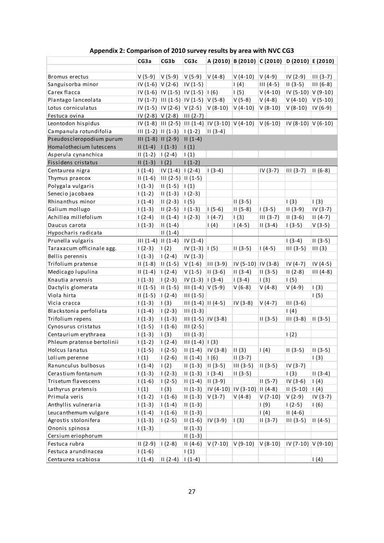|                            | CG3a                 | CG3b                                                                                                                                  | CG3c                   |                                                           |                      | A (2010) B (2010) C (2010) D (2010) E (2010) |                    |                 |
|----------------------------|----------------------|---------------------------------------------------------------------------------------------------------------------------------------|------------------------|-----------------------------------------------------------|----------------------|----------------------------------------------|--------------------|-----------------|
| Bromus erectus             | $V(5-9)$             | $V(5-9)$                                                                                                                              | $V(5-9)$               | $V(4-8)$                                                  | $V(4-10)$            | $V(4-9)$                                     | IV (2-9)           | $III (3-7)$     |
| Sanguisorba minor          | $IV(1-6)$ $V(2-6)$   |                                                                                                                                       | $IV(1-5)$              |                                                           | 1(4)                 | $III(4-5)$                                   | $II(3-5)$          | $III(6-8)$      |
| Carex flacca               |                      | $IV (1-6)   IV (1-5)   IV (1-5)   I (6)$                                                                                              |                        |                                                           | 1(5)                 | $V(4-10)$                                    | IV (5-10) V (9-10) |                 |
| Plantago lanceolata        |                      | $IV (1-7)$  III (1-5)  IV (1-5)  V (5-8)                                                                                              |                        |                                                           | $V(5-8)$             | $V(4-8)$                                     | $V(4-10)$          | $V(5-10)$       |
| Lotus corniculatus         |                      | $IV (1-5)$ $IV (2-6)$ $V (2-5)$                                                                                                       |                        | $V(8-10)$                                                 | $V(4-10)$            | $V(8-10)$                                    | $V(8-10)$          | IV (6-9)        |
| Festuca ovina              | $IV (2-8) V (2-8)$   |                                                                                                                                       | $III (2-7)$            |                                                           |                      |                                              |                    |                 |
| Leontodon hispidus         |                      |                                                                                                                                       |                        | $IV (1-8)$ $III (2-5)$ $III (1-4)$ $IV (3-10)$ $V (4-10)$ |                      | $V(6-10)$                                    | IV (8-10) V (6-10) |                 |
| Campanula rotundifolia     |                      | $\left  \right  \left  \left( 1-2 \right) \right  \left  \left  \left( 1-3 \right) \right  \right  \left  \left( 1-2 \right) \right $ |                        | $ II(3-4) $                                               |                      |                                              |                    |                 |
| Pseudoscleropodium purum   | $III(1-8)$ $II(2-9)$ |                                                                                                                                       | $II(1-4)$              |                                                           |                      |                                              |                    |                 |
| Homalothecium lutescens    | $11(1-4) 1(1-3)$     |                                                                                                                                       | 1(1)                   |                                                           |                      |                                              |                    |                 |
| Asperula cynanchica        | $11(1-2)$ $(2-4)$    |                                                                                                                                       | (1)                    |                                                           |                      |                                              |                    |                 |
| Fissidens cristatus        | $II(1-3)$            | $\vert$ (2)                                                                                                                           | $1(1-2)$               |                                                           |                      |                                              |                    |                 |
| Centaurea nigra            | $1(1-4)$             | $IV(1-4)   I(2-4)$                                                                                                                    |                        | $1(3-4)$                                                  |                      | $IV(3-7)$                                    | $III (3-7)$        | $II(6-8)$       |
| Thymus praecox             | $II(1-6)$            | $III (2-5)$ $II (1-5)$                                                                                                                |                        |                                                           |                      |                                              |                    |                 |
| Polygala vulgaris          | $1(1-3)$             | $II(1-5)$                                                                                                                             | $\vert$ $\vert$ (1)    |                                                           |                      |                                              |                    |                 |
| Senecio jacobaea           | $1(1-2)$             | $II(1-3)$                                                                                                                             | $1(2-3)$               |                                                           |                      |                                              |                    |                 |
| Rhinanthus minor           | $1(1-4)$             | $II(2-3)$                                                                                                                             | 1(5)                   |                                                           | $II(3-5)$            |                                              | 1(3)               | 1(3)            |
| Galium mollugo             | $1(1-3)$             | $II(2-5)$                                                                                                                             | $1(1-3)$               | $1(5-6)$                                                  | $II(5-8)$            | $1(3-5)$                                     | $II(3-9)$          | $IV(3-7)$       |
| Achillea millefolium       | $1(2-4)$             | $II(1-4)$                                                                                                                             | $1(2-3)$               | $(4-7)$                                                   | 1(3)                 | $III (3-7)$                                  | $II(3-6)$          | $II(4-7)$       |
| Daucus carota              | $1(1-3)$             | $II(1-4)$                                                                                                                             |                        | $\vert$ (4)                                               | $1(4-5)$             | $II(3-4)$                                    | $1(3-5)$           | $V(3-5)$        |
| Hypocharis radicata        |                      | $II(1-4)$                                                                                                                             |                        |                                                           |                      |                                              |                    |                 |
| Prunella vulgaris          | $III(1-4)$ $II(1-4)$ |                                                                                                                                       | $IV(1-4)$              |                                                           |                      |                                              | $1(3-4)$           | $II(3-5)$       |
| Taraxacum officinale agg.  | $1(2-3)$             | 1(2)                                                                                                                                  | $IV(1-3)$ $ 1(5)$      |                                                           | $II(3-5)$            | $1(4-5)$                                     | $III(3-5)$         | III(3)          |
| Bellis perennis            | $1(1-3)$             | $1(2-4)$                                                                                                                              | $IV(1-3)$              |                                                           |                      |                                              |                    |                 |
| Trifolium pratense         | $II(1-8)$            | $II(1-5)$                                                                                                                             | $V(1-6)$               | $\parallel$ III (3-9)                                     | IV (5-10)   IV (3-8) |                                              | $IV(4-7)$          | $IV(4-5)$       |
| Medicago lupulina          | $II(1-4)$            | $1(2-4)$                                                                                                                              | $V(1-5)$               | $ II(3-6) $                                               | $II(3-4)$            | $II(3-5)$                                    | $II(2-8)$          | $III(4-8)$      |
| Knautia arvensis           | $1(1-3)$             | $1(2-3)$                                                                                                                              | $IV(1-3)   I(3-4)$     |                                                           | $1(3-4)$             | 1(3)                                         | 1(5)               |                 |
| Dactylis glomerata         | $II(1-5)$            | $II(1-5)$                                                                                                                             | $III(1-4) V(5-9)$      |                                                           | $V(6-8)$             | $V(4-8)$                                     | $V(4-9)$           | 1(3)            |
| Viola hirta                | $II(1-5)$            | $1(2-4)$                                                                                                                              | $III(1-5)$             |                                                           |                      |                                              |                    | 1(5)            |
| Vicia cracca               | $1(1-3)$             | 1(3)                                                                                                                                  | $III (1-4)$ $II (4-5)$ |                                                           | $IV(3-8)$            | $V(4-7)$                                     | $III(3-6)$         |                 |
| Blackstonia perfoliata     | $1(1-4)$             | $1(2-3)$                                                                                                                              | $III(1-3)$             |                                                           |                      |                                              | 1(4)               |                 |
| Trifolium repens           | $1(1-3)$             | $1(1-3)$                                                                                                                              | $III (1-5) IV (3-8)$   |                                                           |                      | $II(3-5)$                                    | $III(3-8)$         | $II(3-5)$       |
| Cynosurus cristatus        | $1(1-5)$             | $1(1-6)$                                                                                                                              | $III(2-5)$             |                                                           |                      |                                              |                    |                 |
| Centaurium erythraea       | $1(1-3)$             | 1(3)                                                                                                                                  | $III(1-3)$             |                                                           |                      |                                              | 1(2)               |                 |
| Phleum pratense bertolinii | $1(1-2)$             | $1(2-4)$                                                                                                                              | $III(1-4)$ $I(3)$      |                                                           |                      |                                              |                    |                 |
| Holcus lanatus             | $1(1-5)$             | $1(2-5)$                                                                                                                              | $II(1-4)$              | $IV(3-8)$                                                 | II(3)                | 1(4)                                         | $II(3-5)$          | $II(3-5)$       |
| Lolium perenne             | $\vert$ (1)          | $1(2-6)$                                                                                                                              | $II(1-4)$              | $\vert$ (6)                                               | $II(3-7)$            |                                              |                    | 1(3)            |
| Ranunculus bulbosus        | $1(1-4)$             | $\frac{1}{2}$                                                                                                                         | $II(1-3)$              | $ 11(3-5) $                                               | $III(3-5)$           | $II(3-5)$                                    | $IV(3-7)$          |                 |
| Cerastium fontanum         | $1(1-3)$             | $1(2-3)$                                                                                                                              | $II(1-3)$              | $(3-4)$                                                   | $II(3-5)$            |                                              | 1(3)               | $II(3-4)$       |
| Trisetum flavescens        | $1(1-6)$             | $1(2-5)$                                                                                                                              | $II(1-4)$              | $ 11(3-9) $                                               |                      | $II(5-7)$                                    | $IV(3-6)$          | $\mathsf{I}(4)$ |
| Lathyrus pratensis         | $\vert$ (1)          | $\left(3\right)$                                                                                                                      | $II(1-3)$              | $ IV (4-10)  IV (3-10)  II (4-8)$                         |                      |                                              | $II(5-10)$         | $\mathsf{I}(4)$ |
| Primula veris              | $1(1-2)$             | $1(1-6)$                                                                                                                              | $II(1-3)$              | $V(3-7)$                                                  | $V(4-8)$             | $V(7-10)$                                    | $V(2-9)$           | $IV(3-7)$       |
| Anthyllis vulneraria       | $1(1-3)$             | $1(1-4)$                                                                                                                              | $II(1-3)$              |                                                           |                      | 1(9)                                         | $1(2-5)$           | 1(6)            |
| Leucanthemum vulgare       | $1(1-4)$             | $1(1-6)$                                                                                                                              | $II(1-3)$              |                                                           |                      | 1(4)                                         | $II(4-6)$          |                 |
| Agrostis stolonifera       | $1(1-3)$             | $1(2-5)$                                                                                                                              | $II(1-6)$              | $ IV(3-9) $                                               | 1(3)                 | $II(3-7)$                                    | $III(3-5)$         | $II(4-5)$       |
| Ononis spinosa             | $1(1-3)$             |                                                                                                                                       | $II(1-3)$              |                                                           |                      |                                              |                    |                 |
| Cersium eriophorum         |                      |                                                                                                                                       | $II(1-3)$              |                                                           |                      |                                              |                    |                 |
| Festuca rubra              | $II(2-9)$            | $1(2-8)$                                                                                                                              | $II(4-6)$              | $V(7-10)$                                                 | $V(9-10)$            | $V(8-10)$                                    | IV (7-10) V (9-10) |                 |
| Festuca arundinacea        | $1(1-6)$             |                                                                                                                                       | $\frac{1}{2}$          |                                                           |                      |                                              |                    |                 |
| Centaurea scabiosa         | $1(1-4)$             | $II(2-4)$                                                                                                                             | $ 1(1-4) $             |                                                           |                      |                                              |                    | 1(4)            |

**Appendix 2: Comparison of 2010 survey results by area with NVC CG3**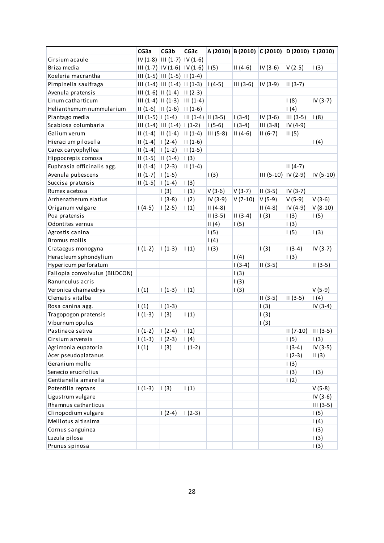|                                | CG3a                  | CG3b                                   | CG3c                                          |             |             | A (2010) B (2010) C (2010) D (2010) E (2010) |             |                   |
|--------------------------------|-----------------------|----------------------------------------|-----------------------------------------------|-------------|-------------|----------------------------------------------|-------------|-------------------|
| Cirsium acaule                 |                       | $IV (1-8)$ $III (1-7)$ $IV (1-6)$      |                                               |             |             |                                              |             |                   |
| Briza media                    |                       | $III (1-7)  IV (1-6)  IV (1-6)  I (5)$ |                                               |             | $II(4-6)$   | $IV(3-6)$                                    | $V(2-5)$    | 1(3)              |
| Koeleria macrantha             |                       | $III (1-5)$ $III (1-5)$ $II (1-4)$     |                                               |             |             |                                              |             |                   |
| Pimpinella saxifraga           |                       | $III (1-4)$ $III (1-4)$ $II (1-3)$     |                                               | $ 1(4-5) $  | $III(3-6)$  | $IV(3-9)$                                    | $II(3-7)$   |                   |
| Avenula pratensis              |                       | $III (1-6)$ $II (1-4)$ $II (2-3)$      |                                               |             |             |                                              |             |                   |
| Linum catharticum              |                       | $III (1-4) II (1-3)$                   | $III(1-4)$                                    |             |             |                                              | 1(8)        | $IV(3-7)$         |
| Helianthemum nummularium       |                       | $  (1-6)  (1-6)$                       | $ II(1-6) $                                   |             |             |                                              | $\vert$ (4) |                   |
| Plantago media                 | $III (1-5)   I (1-4)$ |                                        | $\left  \right $ (1-4) $\left  \right $ (3-5) |             | $1(3-4)$    | $IV(3-6)$                                    | $III (3-5)$ | (8)               |
| Scabiosa columbaria            |                       | $III (1-4) III (1-4) II (1-2)$         |                                               | $ 1(5-6) $  | $1(3-4)$    | $III (3-8)$                                  | IV (4-9)    |                   |
| Galium verum                   |                       | $   (1-4)       (1-4)$                 | $ II(1-4) $                                   | $III (5-8)$ | $II(4-6)$   | $II (6-7)$                                   | II(5)       |                   |
| Hieracium pilosella            | $11(1-4)$ $1(2-4)$    |                                        | $II(1-6)$                                     |             |             |                                              |             | 1(4)              |
| Carex caryophyllea             | $11(1-4)$ $(1-2)$     |                                        | $II(1-5)$                                     |             |             |                                              |             |                   |
| Hippocrepis comosa             |                       | $  (1-5)  (1-4)$                       | $\vert$ (3)                                   |             |             |                                              |             |                   |
| Euphrasia officinalis agg.     | $II(1-4)$             | $ 1(2-3) $                             | $II(1-4)$                                     |             |             |                                              | $II(4-7)$   |                   |
| Avenula pubescens              | $II(1-7)$             | $ 1(1-5) $                             |                                               | 1(3)        |             | $III (5-10)$ $IV (2-9)$                      |             | IV (5-10)         |
| Succisa pratensis              | $II(1-5)$             | $1(1-4)$                               | 1(3)                                          |             |             |                                              |             |                   |
| Rumex acetosa                  |                       | 1(3)                                   | 1(1)                                          | $V(3-6)$    | $V(3-7)$    | $II(3-5)$                                    | $IV(3-7)$   |                   |
| Arrhenatherum elatius          |                       | $1(3-8)$                               | $\vert$ (2)                                   | IV (3-9)    | $V(7-10)$   | $V(5-9)$                                     | $V(5-9)$    | $V(3-6)$          |
| Origanum vulgare               | $1(4-5)$              | $1(2-5)$                               | (1)                                           | $II(4-8)$   |             | $II(4-8)$                                    | $IV(4-9)$   | $V(8-10)$         |
| Poa pratensis                  |                       |                                        |                                               | $II(3-5)$   | $II(3-4)$   | 1(3)                                         | 1(3)        | 1(5)              |
| Odontites vernus               |                       |                                        |                                               | II(4)       | $\vert$ (5) |                                              | 1(3)        |                   |
| Agrostis canina                |                       |                                        |                                               | 1(5)        |             |                                              | 1(5)        | 1(3)              |
| Bromus mollis                  |                       |                                        |                                               | 1(4)        |             |                                              |             |                   |
| Crataegus monogyna             | $1(1-2)$              | $1(1-3)$                               | 1(1)                                          | 1(3)        |             | 1(3)                                         | $1(3-4)$    | $IV(3-7)$         |
| Heracleum sphondylium          |                       |                                        |                                               |             | 1(4)        |                                              | (3)         |                   |
| Hypericum perforatum           |                       |                                        |                                               |             | $1(3-4)$    | $II(3-5)$                                    |             | $II(3-5)$         |
| Fallopia convolvulus (BILDCON) |                       |                                        |                                               |             | 1(3)        |                                              |             |                   |
| Ranunculus acris               |                       |                                        |                                               |             | 1(3)        |                                              |             |                   |
| Veronica chamaedrys            | 1(1)                  | $1(1-3)$                               | $\vert$ (1)                                   |             | 1(3)        |                                              |             | $V(5-9)$          |
| Clematis vitalba               |                       |                                        |                                               |             |             | $II(3-5)$                                    | $II(3-5)$   | 1(4)              |
| Rosa canina agg.               | $\vert$ (1)           | $1(1-3)$                               |                                               |             |             | 1(3)                                         |             | $IV(3-4)$         |
| Tragopogon pratensis           | $1(1-3)$              | 1(3)                                   | $\vert$ (1)                                   |             |             | 1(3)                                         |             |                   |
| Viburnum opulus                |                       |                                        |                                               |             |             | 1(3)                                         |             |                   |
| Pastinaca sativa               | $1(1-2)$              | $1(2-4)$                               | 1(1)                                          |             |             |                                              | $II (7-10)$ | $\vert$ III (3-5) |
| Cirsium arvensis               | $1(1-3)$              | $(2-3)$                                | $\vert$ (4)                                   |             |             |                                              | 1(5)        | (3)               |
| Agrimonia eupatoria            | 1(1)                  | 1(3)                                   | $1(1-2)$                                      |             |             |                                              | $1(3-4)$    | $IV(3-5)$         |
| Acer pseudoplatanus            |                       |                                        |                                               |             |             |                                              | $1(2-3)$    | II(3)             |
| Geranium molle                 |                       |                                        |                                               |             |             |                                              | 1(3)        |                   |
| Senecio erucifolius            |                       |                                        |                                               |             |             |                                              | 1(3)        | 1(3)              |
| Gentianella amarella           |                       |                                        |                                               |             |             |                                              | 1(2)        |                   |
| Potentilla reptans             | $1(1-3)$              | 1(3)                                   | 1(1)                                          |             |             |                                              |             | $V(5-8)$          |
| Ligustrum vulgare              |                       |                                        |                                               |             |             |                                              |             | $IV(3-6)$         |
| Rhamnus catharticus            |                       |                                        |                                               |             |             |                                              |             | $III(3-5)$        |
| Clinopodium vulgare            |                       | $1(2-4)$                               | $1(2-3)$                                      |             |             |                                              |             | 1(5)              |
| Melilotus altissima            |                       |                                        |                                               |             |             |                                              |             | 1(4)              |
| Cornus sanguinea               |                       |                                        |                                               |             |             |                                              |             | 1(3)              |
| Luzula pilosa                  |                       |                                        |                                               |             |             |                                              |             | 1(3)              |
| Prunus spinosa                 |                       |                                        |                                               |             |             |                                              |             | 1(3)              |